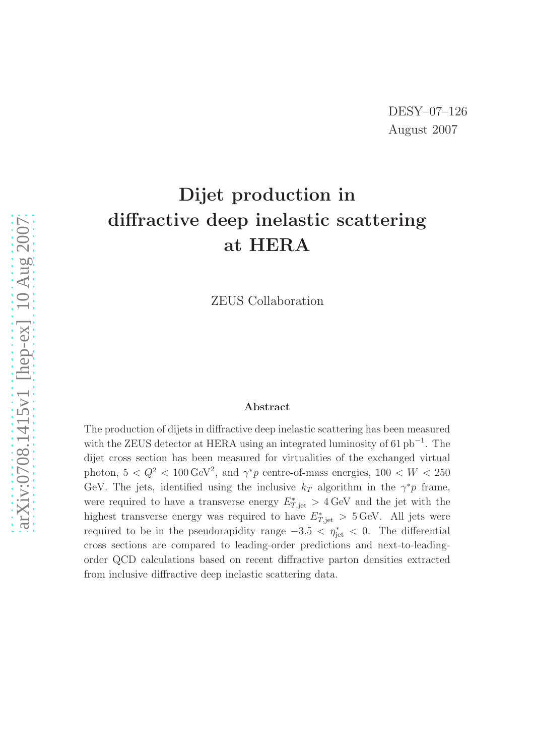# Dijet production in diffractive deep inelastic scattering at HERA

ZEUS Collaboration

#### Abstract

The production of dijets in diffractive deep inelastic scattering has been measured with the ZEUS detector at HERA using an integrated luminosity of 61  $pb^{-1}$ . The dijet cross section has been measured for virtualities of the exchanged virtual photon,  $5 < Q^2 < 100 \,\text{GeV}^2$ , and  $\gamma^* p$  centre-of-mass energies,  $100 < W < 250$ GeV. The jets, identified using the inclusive  $k_T$  algorithm in the  $\gamma^* p$  frame, were required to have a transverse energy  $E^*_{T,\text{jet}} > 4 \,\text{GeV}$  and the jet with the highest transverse energy was required to have  $E^*_{T, jet} > 5 \text{ GeV}$ . All jets were required to be in the pseudorapidity range  $-3.5 < \eta_{jet}^* < 0$ . The differential cross sections are compared to leading-order predictions and next-to-leadingorder QCD calculations based on recent diffractive parton densities extracted from inclusive diffractive deep inelastic scattering data.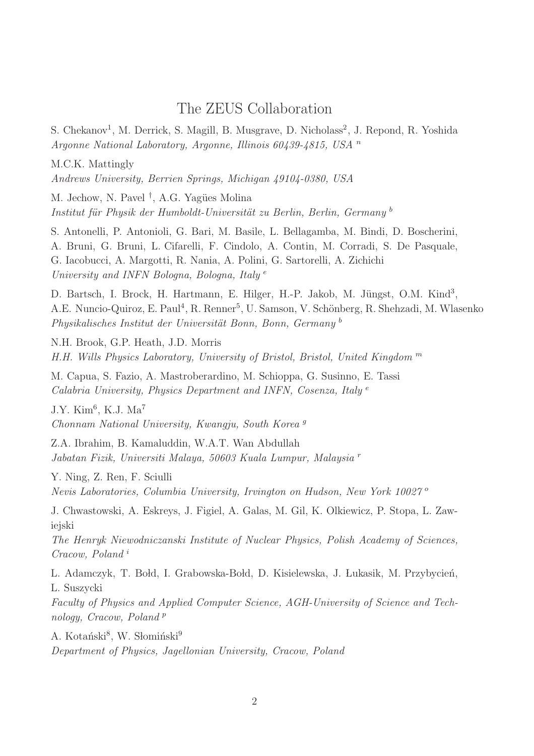### The ZEUS Collaboration

S. Chekanov<sup>1</sup>, M. Derrick, S. Magill, B. Musgrave, D. Nicholass<sup>2</sup>, J. Repond, R. Yoshida Argonne National Laboratory, Argonne, Illinois 60439-4815, USA <sup>n</sup>

M.C.K. Mattingly

Andrews University, Berrien Springs, Michigan 49104-0380, USA

M. Jechow, N. Pavel<sup>†</sup>, A.G. Yagües Molina Institut für Physik der Humboldt-Universität zu Berlin, Berlin, Germany b

S. Antonelli, P. Antonioli, G. Bari, M. Basile, L. Bellagamba, M. Bindi, D. Boscherini, A. Bruni, G. Bruni, L. Cifarelli, F. Cindolo, A. Contin, M. Corradi, S. De Pasquale, G. Iacobucci, A. Margotti, R. Nania, A. Polini, G. Sartorelli, A. Zichichi University and INFN Bologna, Bologna, Italy<sup>e</sup>

D. Bartsch, I. Brock, H. Hartmann, E. Hilger, H.-P. Jakob, M. Jüngst, O.M. Kind<sup>3</sup>, A.E. Nuncio-Quiroz, E. Paul<sup>4</sup>, R. Renner<sup>5</sup>, U. Samson, V. Schönberg, R. Shehzadi, M. Wlasenko  $Physikalisches Institut der Universität Bonn, Bonn, Germany<sup>b</sup>$ 

N.H. Brook, G.P. Heath, J.D. Morris H.H. Wills Physics Laboratory, University of Bristol, Bristol, United Kingdom <sup>m</sup>

M. Capua, S. Fazio, A. Mastroberardino, M. Schioppa, G. Susinno, E. Tassi Calabria University, Physics Department and INFN, Cosenza, Italy<sup>e</sup>

 $J.Y.$  Kim<sup>6</sup>, K.J. Ma<sup>7</sup> Chonnam National University, Kwangju, South Korea <sup>g</sup>

Z.A. Ibrahim, B. Kamaluddin, W.A.T. Wan Abdullah Jabatan Fizik, Universiti Malaya, 50603 Kuala Lumpur, Malaysia <sup>r</sup>

Y. Ning, Z. Ren, F. Sciulli

Nevis Laboratories, Columbia University, Irvington on Hudson, New York 10027 <sup>o</sup>

J. Chwastowski, A. Eskreys, J. Figiel, A. Galas, M. Gil, K. Olkiewicz, P. Stopa, L. Zawiejski

The Henryk Niewodniczanski Institute of Nuclear Physics, Polish Academy of Sciences, Cracow, Poland <sup>i</sup>

L. Adamczyk, T. Bołd, I. Grabowska-Bołd, D. Kisielewska, J. Łukasik, M. Przybycień, L. Suszycki

Faculty of Physics and Applied Computer Science, AGH-University of Science and Technology, Cracow, Poland<sup>p</sup>

A. Kotański<sup>8</sup>, W. Słomiński<sup>9</sup> Department of Physics, Jagellonian University, Cracow, Poland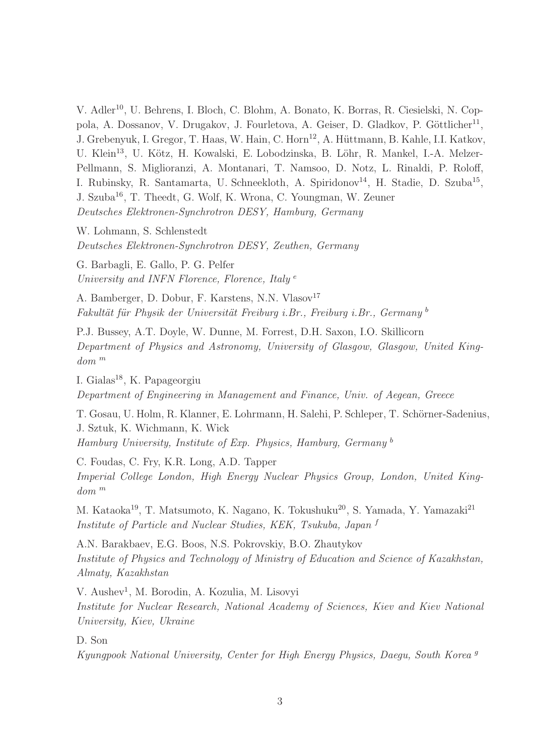V. Adler<sup>10</sup>, U. Behrens, I. Bloch, C. Blohm, A. Bonato, K. Borras, R. Ciesielski, N. Coppola, A. Dossanov, V. Drugakov, J. Fourletova, A. Geiser, D. Gladkov, P. Göttlicher<sup>11</sup>, J. Grebenyuk, I. Gregor, T. Haas, W. Hain, C. Horn<sup>12</sup>, A. Hüttmann, B. Kahle, I.I. Katkov, U. Klein<sup>13</sup>, U. Kötz, H. Kowalski, E. Lobodzinska, B. Löhr, R. Mankel, I.-A. Melzer-Pellmann, S. Miglioranzi, A. Montanari, T. Namsoo, D. Notz, L. Rinaldi, P. Roloff, I. Rubinsky, R. Santamarta, U. Schneekloth, A. Spiridonov<sup>14</sup>, H. Stadie, D. Szuba<sup>15</sup>, J. Szuba<sup>16</sup>, T. Theedt, G. Wolf, K. Wrona, C. Youngman, W. Zeuner Deutsches Elektronen-Synchrotron DESY, Hamburg, Germany

W. Lohmann, S. Schlenstedt Deutsches Elektronen-Synchrotron DESY, Zeuthen, Germany

G. Barbagli, E. Gallo, P. G. Pelfer University and INFN Florence, Florence, Italy<sup>e</sup>

A. Bamberger, D. Dobur, F. Karstens, N.N. Vlasov<sup>17</sup> Fakultät für Physik der Universität Freiburg i.Br., Freiburg i.Br., Germany  $^b$ 

P.J. Bussey, A.T. Doyle, W. Dunne, M. Forrest, D.H. Saxon, I.O. Skillicorn Department of Physics and Astronomy, University of Glasgow, Glasgow, United Kingdom <sup>m</sup>

I. Gialas<sup>18</sup>, K. Papageorgiu Department of Engineering in Management and Finance, Univ. of Aegean, Greece

T. Gosau, U. Holm, R. Klanner, E. Lohrmann, H. Salehi, P. Schleper, T. Schörner-Sadenius, J. Sztuk, K. Wichmann, K. Wick Hamburg University, Institute of Exp. Physics, Hamburg, Germany <sup>b</sup>

C. Foudas, C. Fry, K.R. Long, A.D. Tapper Imperial College London, High Energy Nuclear Physics Group, London, United King $dom^m$ 

M. Kataoka<sup>19</sup>, T. Matsumoto, K. Nagano, K. Tokushuku<sup>20</sup>, S. Yamada, Y. Yamazaki<sup>21</sup> Institute of Particle and Nuclear Studies, KEK, Tsukuba, Japan <sup>f</sup>

A.N. Barakbaev, E.G. Boos, N.S. Pokrovskiy, B.O. Zhautykov Institute of Physics and Technology of Ministry of Education and Science of Kazakhstan, Almaty, Kazakhstan

V. Aushev<sup>1</sup>, M. Borodin, A. Kozulia, M. Lisovyi Institute for Nuclear Research, National Academy of Sciences, Kiev and Kiev National University, Kiev, Ukraine

D. Son

Kyungpook National University, Center for High Energy Physics, Daegu, South Korea <sup>g</sup>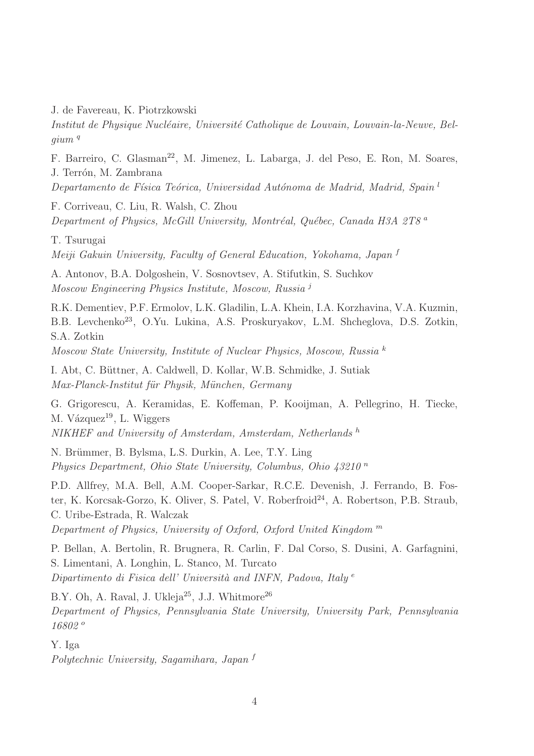J. de Favereau, K. Piotrzkowski

Institut de Physique Nucléaire, Université Catholique de Louvain, Louvain-la-Neuve, Bel $qium q$ 

F. Barreiro, C. Glasman<sup>22</sup>, M. Jimenez, L. Labarga, J. del Peso, E. Ron, M. Soares, J. Terrón, M. Zambrana

Departamento de Física Teórica, Universidad Autónoma de Madrid, Madrid, Spain<sup>l</sup>

F. Corriveau, C. Liu, R. Walsh, C. Zhou Department of Physics, McGill University, Montréal, Québec, Canada H3A 2T8  $^a$ 

T. Tsurugai

Meiji Gakuin University, Faculty of General Education, Yokohama, Japan <sup>f</sup>

A. Antonov, B.A. Dolgoshein, V. Sosnovtsev, A. Stifutkin, S. Suchkov Moscow Engineering Physics Institute, Moscow, Russia <sup>j</sup>

R.K. Dementiev, P.F. Ermolov, L.K. Gladilin, L.A. Khein, I.A. Korzhavina, V.A. Kuzmin, B.B. Levchenko<sup>23</sup>, O.Yu. Lukina, A.S. Proskuryakov, L.M. Shcheglova, D.S. Zotkin, S.A. Zotkin

Moscow State University, Institute of Nuclear Physics, Moscow, Russia <sup>k</sup>

I. Abt, C. Büttner, A. Caldwell, D. Kollar, W.B. Schmidke, J. Sutiak Max-Planck-Institut für Physik, München, Germany

G. Grigorescu, A. Keramidas, E. Koffeman, P. Kooijman, A. Pellegrino, H. Tiecke, M. Vázquez $^{19}$ , L. Wiggers NIKHEF and University of Amsterdam, Amsterdam, Netherlands h

N. Brümmer, B. Bylsma, L.S. Durkin, A. Lee, T.Y. Ling

Physics Department, Ohio State University, Columbus, Ohio  $43210<sup>n</sup>$ 

P.D. Allfrey, M.A. Bell, A.M. Cooper-Sarkar, R.C.E. Devenish, J. Ferrando, B. Foster, K. Korcsak-Gorzo, K. Oliver, S. Patel, V. Roberfroid<sup>24</sup>, A. Robertson, P.B. Straub, C. Uribe-Estrada, R. Walczak

Department of Physics, University of Oxford, Oxford United Kingdom <sup>m</sup>

P. Bellan, A. Bertolin, R. Brugnera, R. Carlin, F. Dal Corso, S. Dusini, A. Garfagnini, S. Limentani, A. Longhin, L. Stanco, M. Turcato Dipartimento di Fisica dell' Università and INFN, Padova, Italy  $e$ 

B.Y. Oh, A. Raval, J. Ukleja<sup>25</sup>, J.J. Whitmore<sup>26</sup> Department of Physics, Pennsylvania State University, University Park, Pennsylvania 16802 <sup>o</sup>

Y. Iga

Polytechnic University, Sagamihara, Japan <sup>f</sup>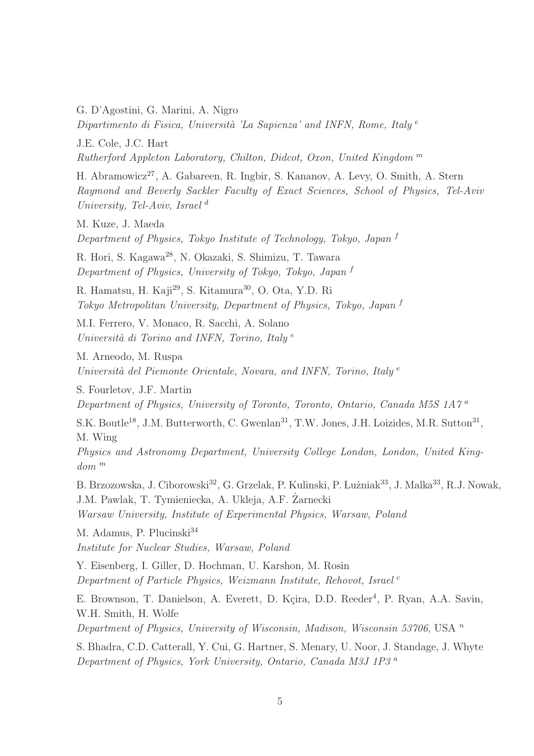G. D'Agostini, G. Marini, A. Nigro

Dipartimento di Fisica, Università 'La Sapienza' and INFN, Rome, Italy  $e$ 

J.E. Cole, J.C. Hart

Rutherford Appleton Laboratory, Chilton, Didcot, Oxon, United Kingdom <sup>m</sup>

H. Abramowicz<sup>27</sup>, A. Gabareen, R. Ingbir, S. Kananov, A. Levy, O. Smith, A. Stern Raymond and Beverly Sackler Faculty of Exact Sciences, School of Physics, Tel-Aviv University, Tel-Aviv, Israel  $^d$ 

M. Kuze, J. Maeda

Department of Physics, Tokyo Institute of Technology, Tokyo, Japan <sup>f</sup>

R. Hori, S. Kagawa<sup>28</sup>, N. Okazaki, S. Shimizu, T. Tawara Department of Physics, University of Tokyo, Tokyo, Japan <sup>f</sup>

R. Hamatsu, H. Kaji<sup>29</sup>, S. Kitamura<sup>30</sup>, O. Ota, Y.D. Ri Tokyo Metropolitan University, Department of Physics, Tokyo, Japan <sup>f</sup>

M.I. Ferrero, V. Monaco, R. Sacchi, A. Solano Università di Torino and INFN, Torino, Italy  $e$ 

M. Arneodo, M. Ruspa Università del Piemonte Orientale, Novara, and INFN, Torino, Italy  $e$ 

S. Fourletov, J.F. Martin

Department of Physics, University of Toronto, Toronto, Ontario, Canada M5S 1A7<sup>a</sup>

S.K. Boutle<sup>18</sup>, J.M. Butterworth, C. Gwenlan<sup>31</sup>, T.W. Jones, J.H. Loizides, M.R. Sutton<sup>31</sup>, M. Wing

Physics and Astronomy Department, University College London, London, United King $dom^m$ 

B. Brzozowska, J. Ciborowski<sup>32</sup>, G. Grzelak, P. Kulinski, P. Łużniak<sup>33</sup>, J. Malka<sup>33</sup>, R.J. Nowak, J.M. Pawlak, T. Tymieniecka, A. Ukleja, A.F. Zarnecki ˙ Warsaw University, Institute of Experimental Physics, Warsaw, Poland

M. Adamus, P. Plucinski<sup>34</sup> Institute for Nuclear Studies, Warsaw, Poland

Y. Eisenberg, I. Giller, D. Hochman, U. Karshon, M. Rosin Department of Particle Physics, Weizmann Institute, Rehovot, Israel<sup>c</sup>

E. Brownson, T. Danielson, A. Everett, D. Kçira, D.D. Reeder<sup>4</sup>, P. Ryan, A.A. Savin, W.H. Smith, H. Wolfe

Department of Physics, University of Wisconsin, Madison, Wisconsin 53706, USA  $<sup>n</sup>$ </sup>

S. Bhadra, C.D. Catterall, Y. Cui, G. Hartner, S. Menary, U. Noor, J. Standage, J. Whyte Department of Physics, York University, Ontario, Canada M3J 1P3 <sup>a</sup>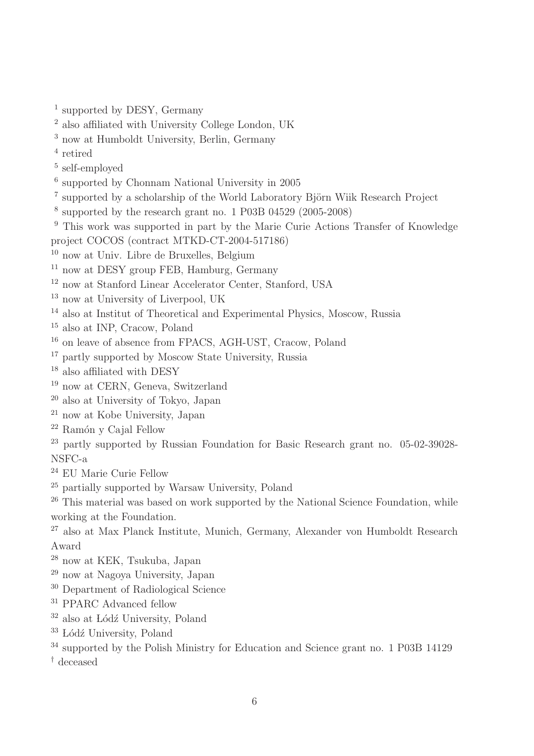supported by DESY, Germany

- also affiliated with University College London, UK
- now at Humboldt University, Berlin, Germany
- retired
- self-employed
- supported by Chonnam National University in 2005
- <sup>7</sup> supported by a scholarship of the World Laboratory Björn Wiik Research Project
- supported by the research grant no. 1 P03B 04529 (2005-2008)
- <sup>9</sup> This work was supported in part by the Marie Curie Actions Transfer of Knowledge project COCOS (contract MTKD-CT-2004-517186)
- now at Univ. Libre de Bruxelles, Belgium
- now at DESY group FEB, Hamburg, Germany
- now at Stanford Linear Accelerator Center, Stanford, USA
- now at University of Liverpool, UK
- also at Institut of Theoretical and Experimental Physics, Moscow, Russia
- also at INP, Cracow, Poland
- on leave of absence from FPACS, AGH-UST, Cracow, Poland
- partly supported by Moscow State University, Russia
- also affiliated with DESY
- now at CERN, Geneva, Switzerland
- also at University of Tokyo, Japan
- now at Kobe University, Japan
- $^{22}$ Ramón y Cajal Fellow

 partly supported by Russian Foundation for Basic Research grant no. 05-02-39028- NSFC-a

- EU Marie Curie Fellow
- partially supported by Warsaw University, Poland

<sup>26</sup> This material was based on work supported by the National Science Foundation, while working at the Foundation.

<sup>27</sup> also at Max Planck Institute, Munich, Germany, Alexander von Humboldt Research Award

- now at KEK, Tsukuba, Japan
- now at Nagoya University, Japan
- Department of Radiological Science
- <sup>31</sup> PPARC Advanced fellow
- also at Lódź University, Poland
- Lódź University, Poland
- <sup>34</sup> supported by the Polish Ministry for Education and Science grant no. 1 P03B 14129
- † deceased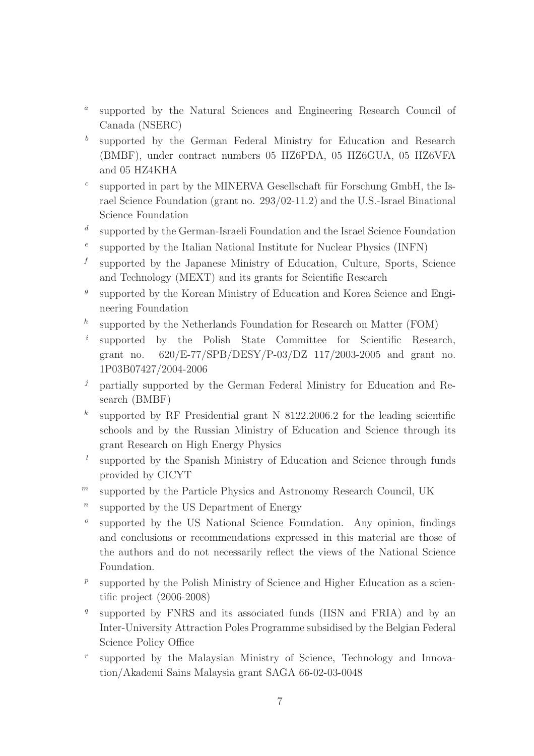- $\boldsymbol{a}$ supported by the Natural Sciences and Engineering Research Council of Canada (NSERC)
- b supported by the German Federal Ministry for Education and Research (BMBF), under contract numbers 05 HZ6PDA, 05 HZ6GUA, 05 HZ6VFA and 05 HZ4KHA
- c supported in part by the MINERVA Gesellschaft für Forschung GmbH, the Israel Science Foundation (grant no. 293/02-11.2) and the U.S.-Israel Binational Science Foundation
- d supported by the German-Israeli Foundation and the Israel Science Foundation
- e supported by the Italian National Institute for Nuclear Physics (INFN)
- f supported by the Japanese Ministry of Education, Culture, Sports, Science and Technology (MEXT) and its grants for Scientific Research
- $g$ supported by the Korean Ministry of Education and Korea Science and Engineering Foundation
- h supported by the Netherlands Foundation for Research on Matter (FOM)
- i supported by the Polish State Committee for Scientific Research, grant no. 620/E-77/SPB/DESY/P-03/DZ 117/2003-2005 and grant no. 1P03B07427/2004-2006
- $j$  partially supported by the German Federal Ministry for Education and Research (BMBF)
- $k<sub>1</sub>$ supported by RF Presidential grant N 8122.2006.2 for the leading scientific schools and by the Russian Ministry of Education and Science through its grant Research on High Energy Physics
- l supported by the Spanish Ministry of Education and Science through funds provided by CICYT
- $<sup>m</sup>$  supported by the Particle Physics and Astronomy Research Council, UK</sup>
- n supported by the US Department of Energy
- o supported by the US National Science Foundation. Any opinion, findings and conclusions or recommendations expressed in this material are those of the authors and do not necessarily reflect the views of the National Science Foundation.
- $p_{\parallel}$ supported by the Polish Ministry of Science and Higher Education as a scientific project (2006-2008)
- q supported by FNRS and its associated funds (IISN and FRIA) and by an Inter-University Attraction Poles Programme subsidised by the Belgian Federal Science Policy Office
- r supported by the Malaysian Ministry of Science, Technology and Innovation/Akademi Sains Malaysia grant SAGA 66-02-03-0048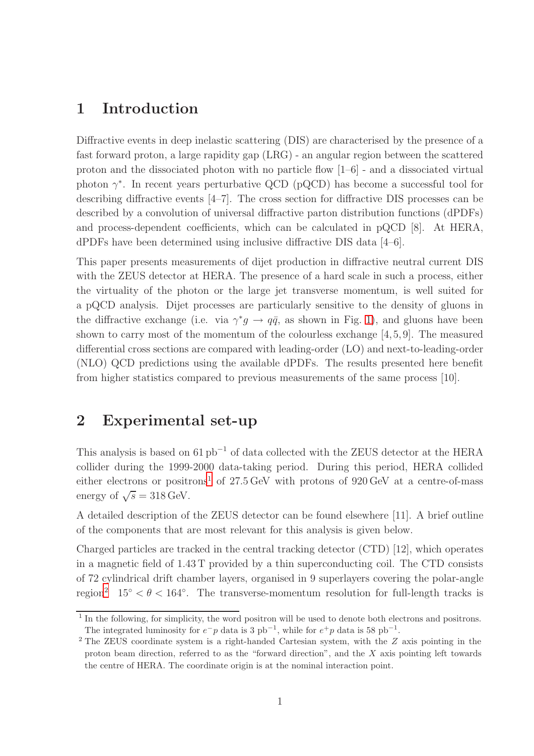# 1 Introduction

Diffractive events in deep inelastic scattering (DIS) are characterised by the presence of a fast forward proton, a large rapidity gap (LRG) - an angular region between the scattered proton and the dissociated photon with no particle flow [1–6] - and a dissociated virtual photon  $\gamma^*$ . In recent years perturbative QCD (pQCD) has become a successful tool for describing diffractive events [4–7]. The cross section for diffractive DIS processes can be described by a convolution of universal diffractive parton distribution functions (dPDFs) and process-dependent coefficients, which can be calculated in pQCD [8]. At HERA, dPDFs have been determined using inclusive diffractive DIS data [4–6].

This paper presents measurements of dijet production in diffractive neutral current DIS with the ZEUS detector at HERA. The presence of a hard scale in such a process, either the virtuality of the photon or the large jet transverse momentum, is well suited for a pQCD analysis. Dijet processes are particularly sensitive to the density of gluons in the diffractive exchange (i.e. via  $\gamma^* g \to q\bar{q}$ , as shown in Fig. [1\)](#page-31-0), and gluons have been shown to carry most of the momentum of the colourless exchange  $[4,5,9]$ . The measured differential cross sections are compared with leading-order (LO) and next-to-leading-order (NLO) QCD predictions using the available dPDFs. The results presented here benefit from higher statistics compared to previous measurements of the same process [10].

### 2 Experimental set-up

This analysis is based on  $61 \text{ pb}^{-1}$  of data collected with the ZEUS detector at the HERA collider during the 1999-2000 data-taking period. During this period, HERA collided either electrons or positrons<sup>[1](#page-7-0)</sup> of  $27.5 \,\text{GeV}$  with protons of  $920 \,\text{GeV}$  at a centre-of-mass energy of  $\sqrt{s} = 318 \,\text{GeV}$ .

A detailed description of the ZEUS detector can be found elsewhere [11]. A brief outline of the components that are most relevant for this analysis is given below.

Charged particles are tracked in the central tracking detector (CTD) [12], which operates in a magnetic field of 1.43 T provided by a thin superconducting coil. The CTD consists of 72 cylindrical drift chamber layers, organised in 9 superlayers covering the polar-angle region<sup>[2](#page-7-1)</sup> 15<sup>°</sup>  $<\theta$  < 164<sup>°</sup>. The transverse-momentum resolution for full-length tracks is

<span id="page-7-0"></span><sup>&</sup>lt;sup>1</sup> In the following, for simplicity, the word positron will be used to denote both electrons and positrons. The integrated luminosity for  $e^-p$  data is 3 pb<sup>-1</sup>, while for  $e^+p$  data is 58 pb<sup>-1</sup>.

<span id="page-7-1"></span><sup>2</sup> The ZEUS coordinate system is a right-handed Cartesian system, with the Z axis pointing in the proton beam direction, referred to as the "forward direction", and the X axis pointing left towards the centre of HERA. The coordinate origin is at the nominal interaction point.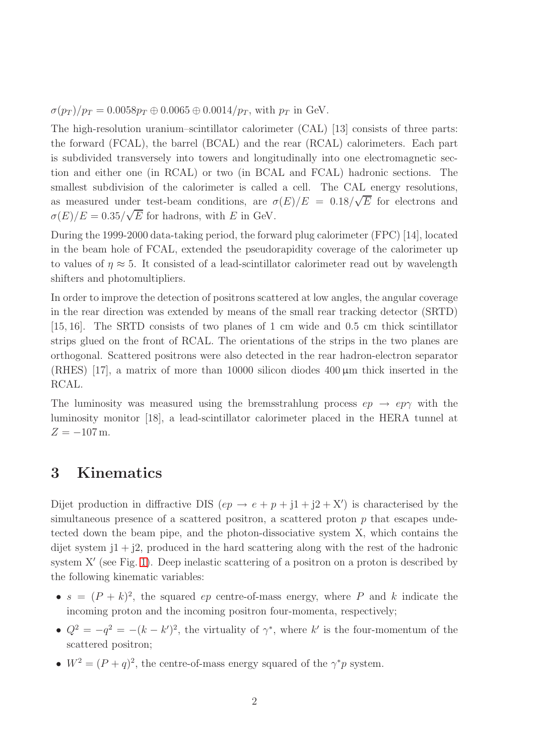$\sigma(p_T)/p_T = 0.0058p_T \oplus 0.0065 \oplus 0.0014/p_T$ , with  $p_T$  in GeV.

The high-resolution uranium–scintillator calorimeter (CAL) [13] consists of three parts: the forward (FCAL), the barrel (BCAL) and the rear (RCAL) calorimeters. Each part is subdivided transversely into towers and longitudinally into one electromagnetic section and either one (in RCAL) or two (in BCAL and FCAL) hadronic sections. The smallest subdivision of the calorimeter is called a cell. The CAL energy resolutions, as measured under test-beam conditions, are  $\sigma(E)/E = 0.18/\sqrt{E}$  for electrons and  $\sigma(E)/E = 0.35/\sqrt{E}$  for hadrons, with E in GeV.

During the 1999-2000 data-taking period, the forward plug calorimeter (FPC) [14], located in the beam hole of FCAL, extended the pseudorapidity coverage of the calorimeter up to values of  $\eta \approx 5$ . It consisted of a lead-scintillator calorimeter read out by wavelength shifters and photomultipliers.

In order to improve the detection of positrons scattered at low angles, the angular coverage in the rear direction was extended by means of the small rear tracking detector (SRTD) [15, 16]. The SRTD consists of two planes of 1 cm wide and 0.5 cm thick scintillator strips glued on the front of RCAL. The orientations of the strips in the two planes are orthogonal. Scattered positrons were also detected in the rear hadron-electron separator (RHES) [17], a matrix of more than 10000 silicon diodes 400 µm thick inserted in the RCAL.

The luminosity was measured using the bremsstrahlung process  $ep \rightarrow ep\gamma$  with the luminosity monitor [18], a lead-scintillator calorimeter placed in the HERA tunnel at  $Z = -107$  m.

# 3 Kinematics

Dijet production in diffractive DIS  $(ep \rightarrow e + p + j1 + j2 + X')$  is characterised by the simultaneous presence of a scattered positron, a scattered proton  $p$  that escapes undetected down the beam pipe, and the photon-dissociative system X, which contains the dijet system  $1 + 2$ , produced in the hard scattering along with the rest of the hadronic system X' (see Fig. [1\)](#page-31-0). Deep inelastic scattering of a positron on a proton is described by the following kinematic variables:

- $s = (P + k)^2$ , the squared *ep* centre-of-mass energy, where P and k indicate the incoming proton and the incoming positron four-momenta, respectively;
- $Q^2 = -q^2 = -(k k')^2$ , the virtuality of  $\gamma^*$ , where k' is the four-momentum of the scattered positron;
- $W^2 = (P+q)^2$ , the centre-of-mass energy squared of the  $\gamma^* p$  system.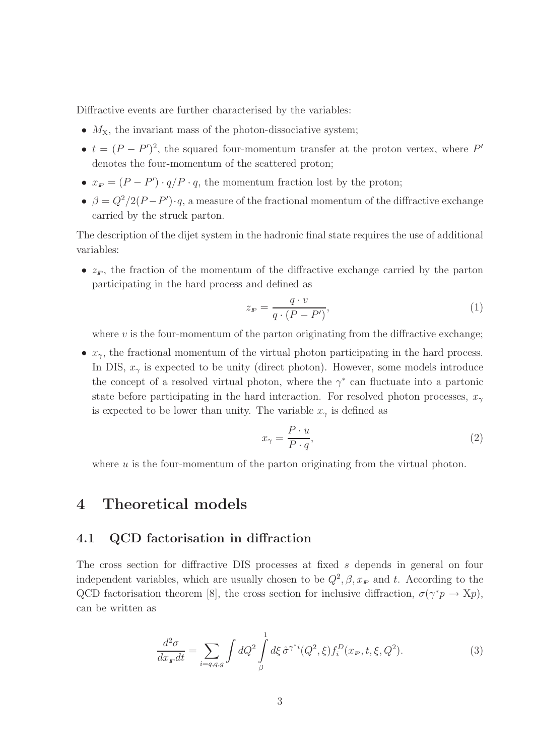Diffractive events are further characterised by the variables:

- $M_X$ , the invariant mass of the photon-dissociative system;
- $t = (P P')^2$ , the squared four-momentum transfer at the proton vertex, where P' denotes the four-momentum of the scattered proton;
- $x_P = (P P') \cdot q/P \cdot q$ , the momentum fraction lost by the proton;
- $\beta = Q^2/2(P P') \cdot q$ , a measure of the fractional momentum of the diffractive exchange carried by the struck parton.

The description of the dijet system in the hadronic final state requires the use of additional variables:

•  $z_p$ , the fraction of the momentum of the diffractive exchange carried by the parton participating in the hard process and defined as

$$
z_F = \frac{q \cdot v}{q \cdot (P - P')},\tag{1}
$$

where  $v$  is the four-momentum of the parton originating from the diffractive exchange;

•  $x_{\gamma}$ , the fractional momentum of the virtual photon participating in the hard process. In DIS,  $x_{\gamma}$  is expected to be unity (direct photon). However, some models introduce the concept of a resolved virtual photon, where the  $\gamma^*$  can fluctuate into a partonic state before participating in the hard interaction. For resolved photon processes,  $x_{\gamma}$ is expected to be lower than unity. The variable  $x_{\gamma}$  is defined as

$$
x_{\gamma} = \frac{P \cdot u}{P \cdot q},\tag{2}
$$

where  $u$  is the four-momentum of the parton originating from the virtual photon.

### 4 Theoretical models

#### 4.1 QCD factorisation in diffraction

The cross section for diffractive DIS processes at fixed s depends in general on four independent variables, which are usually chosen to be  $Q^2$ ,  $\beta$ ,  $x_F$  and t. According to the QCD factorisation theorem [8], the cross section for inclusive diffraction,  $\sigma(\gamma^*p \to Xp)$ , can be written as

<span id="page-9-0"></span>
$$
\frac{d^2\sigma}{dx_{\mathbf{F}}dt} = \sum_{i=q,\bar{q},g} \int dQ^2 \int_{\beta}^1 d\xi \,\hat{\sigma}^{\gamma^*i}(Q^2,\xi) f_i^D(x_{\mathbf{F}},t,\xi,Q^2). \tag{3}
$$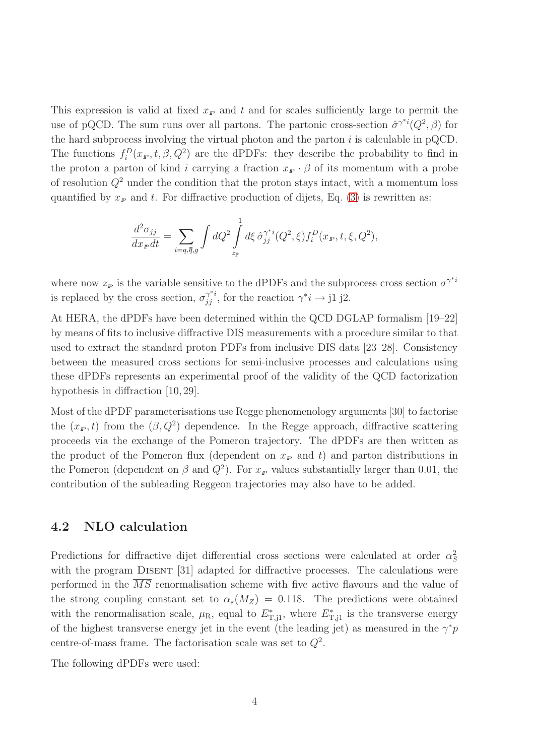This expression is valid at fixed  $x_P$  and t and for scales sufficiently large to permit the use of pQCD. The sum runs over all partons. The partonic cross-section  $\hat{\sigma}^{\gamma^*i}(Q^2, \beta)$  for the hard subprocess involving the virtual photon and the parton  $i$  is calculable in pQCD. The functions  $f_i^D(x_F, t, \beta, Q^2)$  are the dPDFs: they describe the probability to find in the proton a parton of kind i carrying a fraction  $x_F \cdot \beta$  of its momentum with a probe of resolution  $Q^2$  under the condition that the proton stays intact, with a momentum loss quantified by  $x_F$  and t. For diffractive production of dijets, Eq. [\(3\)](#page-9-0) is rewritten as:

$$
\frac{d^2\sigma_{jj}}{dx_{\mathbf{F}}dt} = \sum_{i=q,\bar{q},g} \int dQ^2 \int_{z_{\mathbf{F}}}^1 d\xi \,\hat{\sigma}_{jj}^{\gamma^*i}(Q^2,\xi) f_i^D(x_{\mathbf{F}},t,\xi,Q^2),
$$

where now  $z<sub>F</sub>$  is the variable sensitive to the dPDFs and the subprocess cross section  $\sigma^{\gamma^*i}$ is replaced by the cross section,  $\sigma_{jj}^{\gamma^*i}$ , for the reaction  $\gamma^*i \to j1 \text{ j2.}$ 

At HERA, the dPDFs have been determined within the QCD DGLAP formalism [19–22] by means of fits to inclusive diffractive DIS measurements with a procedure similar to that used to extract the standard proton PDFs from inclusive DIS data [23–28]. Consistency between the measured cross sections for semi-inclusive processes and calculations using these dPDFs represents an experimental proof of the validity of the QCD factorization hypothesis in diffraction [10,29].

Most of the dPDF parameterisations use Regge phenomenology arguments [30] to factorise the  $(x_F, t)$  from the  $(\beta, Q^2)$  dependence. In the Regge approach, diffractive scattering proceeds via the exchange of the Pomeron trajectory. The dPDFs are then written as the product of the Pomeron flux (dependent on  $x<sub>P</sub>$  and t) and parton distributions in the Pomeron (dependent on  $\beta$  and  $Q^2$ ). For  $x_F$  values substantially larger than 0.01, the contribution of the subleading Reggeon trajectories may also have to be added.

### <span id="page-10-0"></span>4.2 NLO calculation

Predictions for diffractive dijet differential cross sections were calculated at order  $\alpha_S^2$ with the program DISENT [31] adapted for diffractive processes. The calculations were performed in the  $\overline{MS}$  renormalisation scheme with five active flavours and the value of the strong coupling constant set to  $\alpha_s(M_Z) = 0.118$ . The predictions were obtained with the renormalisation scale,  $\mu_R$ , equal to  $E_{T,j1}^*$ , where  $E_{T,j1}^*$  is the transverse energy of the highest transverse energy jet in the event (the leading jet) as measured in the  $\gamma^* p$ centre-of-mass frame. The factorisation scale was set to  $Q^2$ .

The following dPDFs were used: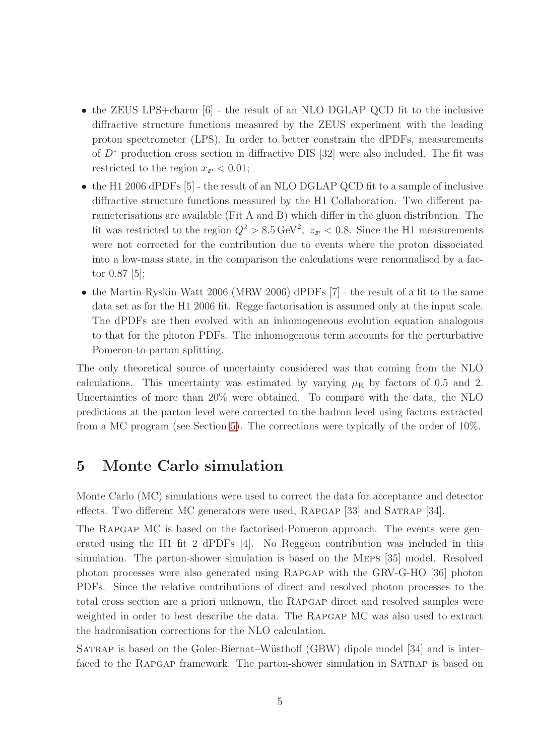- the ZEUS LPS+charm [6] the result of an NLO DGLAP QCD fit to the inclusive diffractive structure functions measured by the ZEUS experiment with the leading proton spectrometer (LPS). In order to better constrain the dPDFs, measurements of D<sup>∗</sup> production cross section in diffractive DIS [32] were also included. The fit was restricted to the region  $x_F < 0.01$ ;
- the H1 2006 dPDFs [5] the result of an NLO DGLAP QCD fit to a sample of inclusive diffractive structure functions measured by the H1 Collaboration. Two different parameterisations are available (Fit A and B) which differ in the gluon distribution. The fit was restricted to the region  $Q^2 > 8.5 \,\text{GeV}^2$ ,  $z_F < 0.8$ . Since the H1 measurements were not corrected for the contribution due to events where the proton dissociated into a low-mass state, in the comparison the calculations were renormalised by a factor 0.87 [5];
- the Martin-Ryskin-Watt 2006 (MRW 2006) dPDFs [7] the result of a fit to the same data set as for the H1 2006 fit. Regge factorisation is assumed only at the input scale. The dPDFs are then evolved with an inhomogeneous evolution equation analogous to that for the photon PDFs. The inhomogenous term accounts for the perturbative Pomeron-to-parton splitting.

The only theoretical source of uncertainty considered was that coming from the NLO calculations. This uncertainty was estimated by varying  $\mu_R$  by factors of 0.5 and 2. Uncertainties of more than 20% were obtained. To compare with the data, the NLO predictions at the parton level were corrected to the hadron level using factors extracted from a MC program (see Section [5\)](#page-11-0). The corrections were typically of the order of 10%.

# <span id="page-11-0"></span>5 Monte Carlo simulation

Monte Carlo (MC) simulations were used to correct the data for acceptance and detector effects. Two different MC generators were used, Rapgap [33] and Satrap [34].

The Rapgap MC is based on the factorised-Pomeron approach. The events were generated using the H1 fit 2 dPDFs [4]. No Reggeon contribution was included in this simulation. The parton-shower simulation is based on the Meps [35] model. Resolved photon processes were also generated using Rapgap with the GRV-G-HO [36] photon PDFs. Since the relative contributions of direct and resolved photon processes to the total cross section are a priori unknown, the Rapgap direct and resolved samples were weighted in order to best describe the data. The Rapgap MC was also used to extract the hadronisation corrections for the NLO calculation.

SATRAP is based on the Golec-Biernat–Wüsthoff (GBW) dipole model [34] and is interfaced to the RAPGAP framework. The parton-shower simulation in SATRAP is based on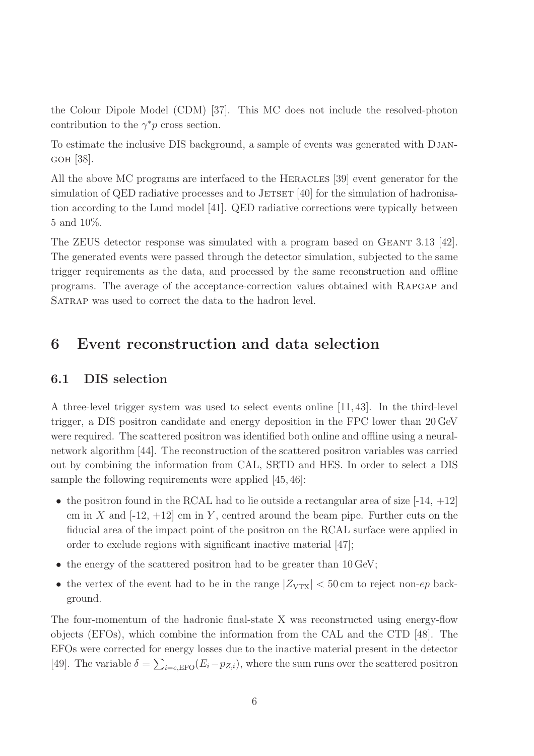the Colour Dipole Model (CDM) [37]. This MC does not include the resolved-photon contribution to the  $\gamma^* p$  cross section.

To estimate the inclusive DIS background, a sample of events was generated with Djangoh [38].

All the above MC programs are interfaced to the HERACLES [39] event generator for the simulation of QED radiative processes and to JETSET  $[40]$  for the simulation of hadronisation according to the Lund model [41]. QED radiative corrections were typically between 5 and 10%.

The ZEUS detector response was simulated with a program based on GEANT 3.13 [42]. The generated events were passed through the detector simulation, subjected to the same trigger requirements as the data, and processed by the same reconstruction and offline programs. The average of the acceptance-correction values obtained with Rapgap and SATRAP was used to correct the data to the hadron level.

### 6 Event reconstruction and data selection

### 6.1 DIS selection

A three-level trigger system was used to select events online [11,43]. In the third-level trigger, a DIS positron candidate and energy deposition in the FPC lower than 20 GeV were required. The scattered positron was identified both online and offline using a neuralnetwork algorithm [44]. The reconstruction of the scattered positron variables was carried out by combining the information from CAL, SRTD and HES. In order to select a DIS sample the following requirements were applied [45,46]:

- the positron found in the RCAL had to lie outside a rectangular area of size  $[-14, +12]$ cm in X and  $[-12, +12]$  cm in Y, centred around the beam pipe. Further cuts on the fiducial area of the impact point of the positron on the RCAL surface were applied in order to exclude regions with significant inactive material [47];
- the energy of the scattered positron had to be greater than 10 GeV;
- the vertex of the event had to be in the range  $|Z_{\text{VTX}}| < 50 \,\text{cm}$  to reject non-ep background.

The four-momentum of the hadronic final-state X was reconstructed using energy-flow objects (EFOs), which combine the information from the CAL and the CTD [48]. The EFOs were corrected for energy losses due to the inactive material present in the detector [49]. The variable  $\delta = \sum_{i=e,\text{EFO}} (E_i - p_{Z,i})$ , where the sum runs over the scattered positron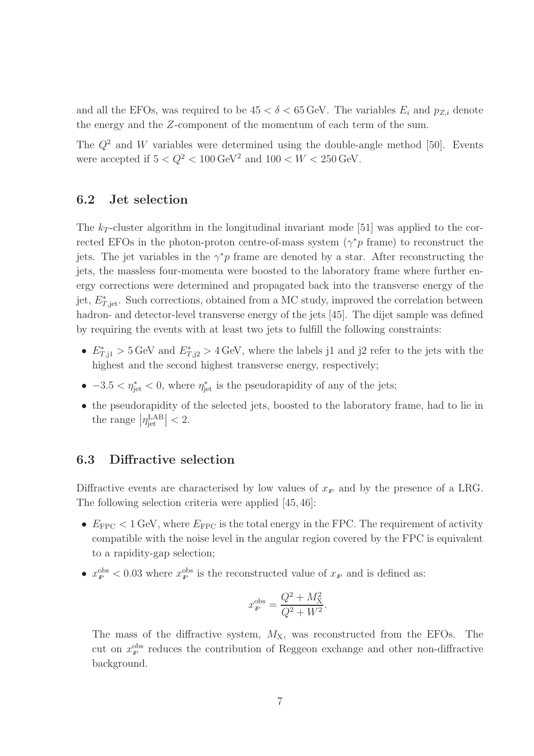and all the EFOs, was required to be  $45 < \delta < 65$  GeV. The variables  $E_i$  and  $p_{Z,i}$  denote the energy and the Z-component of the momentum of each term of the sum.

The  $Q^2$  and W variables were determined using the double-angle method [50]. Events were accepted if  $5 < Q^2 < 100 \,\text{GeV}^2$  and  $100 < W < 250 \,\text{GeV}$ .

#### 6.2 Jet selection

The  $k_T$ -cluster algorithm in the longitudinal invariant mode [51] was applied to the corrected EFOs in the photon-proton centre-of-mass system  $(\gamma^* p \text{ frame})$  to reconstruct the jets. The jet variables in the  $\gamma^* p$  frame are denoted by a star. After reconstructing the jets, the massless four-momenta were boosted to the laboratory frame where further energy corrections were determined and propagated back into the transverse energy of the jet,  $E^*_{T,\text{jet}}$ . Such corrections, obtained from a MC study, improved the correlation between hadron- and detector-level transverse energy of the jets [45]. The dijet sample was defined by requiring the events with at least two jets to fulfill the following constraints:

- $E^*_{T,1} > 5$  GeV and  $E^*_{T,1} > 4$  GeV, where the labels j1 and j2 refer to the jets with the highest and the second highest transverse energy, respectively;
- $-3.5 < \eta_{jet}^* < 0$ , where  $\eta_{jet}^*$  is the pseudorapidity of any of the jets;
- the pseudorapidity of the selected jets, boosted to the laboratory frame, had to lie in the range  $|\eta_{jet}^{\text{LAB}}| < 2$ .

#### 6.3 Diffractive selection

Diffractive events are characterised by low values of  $x<sub>F</sub>$  and by the presence of a LRG. The following selection criteria were applied [45,46]:

- $E_{\text{FPC}} < 1$  GeV, where  $E_{\text{FPC}}$  is the total energy in the FPC. The requirement of activity compatible with the noise level in the angular region covered by the FPC is equivalent to a rapidity-gap selection;
- $x^{\text{obs}}_{p} < 0.03$  where  $x^{\text{obs}}_{p}$  is the reconstructed value of  $x_{p}$  and is defined as:

$$
x_{\rm P}^{\rm obs} = \frac{Q^2 + M_{\rm X}^2}{Q^2 + W^2}.
$$

The mass of the diffractive system,  $M_X$ , was reconstructed from the EFOs. The cut on  $x_{\rm P}^{\rm obs}$  reduces the contribution of Reggeon exchange and other non-diffractive background.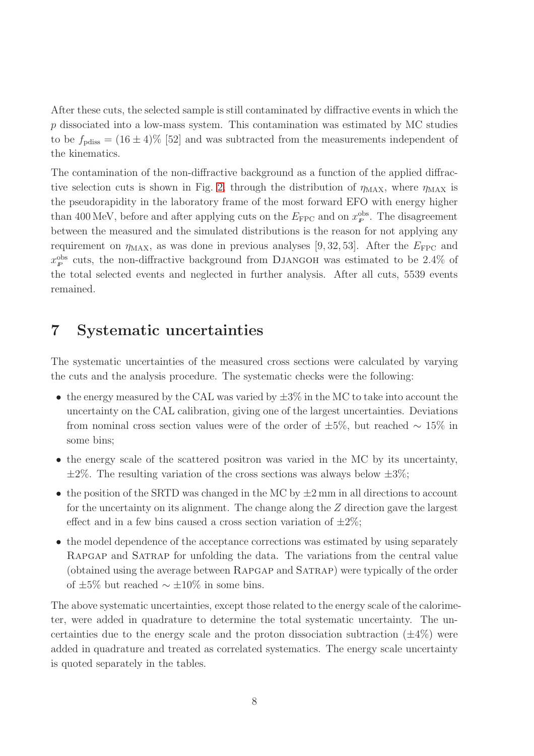After these cuts, the selected sample is still contaminated by diffractive events in which the p dissociated into a low-mass system. This contamination was estimated by MC studies to be  $f_{\text{pdiss}} = (16 \pm 4)\%$  [52] and was subtracted from the measurements independent of the kinematics.

The contamination of the non-diffractive background as a function of the applied diffrac-tive selection cuts is shown in Fig. [2,](#page-32-0) through the distribution of  $\eta_{MAX}$ , where  $\eta_{MAX}$  is the pseudorapidity in the laboratory frame of the most forward EFO with energy higher than 400 MeV, before and after applying cuts on the  $E_{\text{FPC}}$  and on  $x_{\text{P}}^{\text{obs}}$ . The disagreement between the measured and the simulated distributions is the reason for not applying any requirement on  $\eta_{\text{MAX}}$ , as was done in previous analyses [9, 32, 53]. After the  $E_{\text{FPC}}$  and  $x_{\rm P}^{\rm obs}$  cuts, the non-diffractive background from DJANGOH was estimated to be 2.4% of the total selected events and neglected in further analysis. After all cuts, 5539 events remained.

# 7 Systematic uncertainties

The systematic uncertainties of the measured cross sections were calculated by varying the cuts and the analysis procedure. The systematic checks were the following:

- the energy measured by the CAL was varied by  $\pm 3\%$  in the MC to take into account the uncertainty on the CAL calibration, giving one of the largest uncertainties. Deviations from nominal cross section values were of the order of  $\pm 5\%$ , but reached ~ 15% in some bins;
- the energy scale of the scattered positron was varied in the MC by its uncertainty,  $\pm 2\%$ . The resulting variation of the cross sections was always below  $\pm 3\%$ ;
- the position of the SRTD was changed in the MC by  $\pm 2$  mm in all directions to account for the uncertainty on its alignment. The change along the  $Z$  direction gave the largest effect and in a few bins caused a cross section variation of  $\pm 2\%$ ;
- the model dependence of the acceptance corrections was estimated by using separately Rapgap and Satrap for unfolding the data. The variations from the central value (obtained using the average between Rapgap and Satrap) were typically of the order of  $\pm 5\%$  but reached  $\sim \pm 10\%$  in some bins.

The above systematic uncertainties, except those related to the energy scale of the calorimeter, were added in quadrature to determine the total systematic uncertainty. The uncertainties due to the energy scale and the proton dissociation subtraction  $(\pm 4\%)$  were added in quadrature and treated as correlated systematics. The energy scale uncertainty is quoted separately in the tables.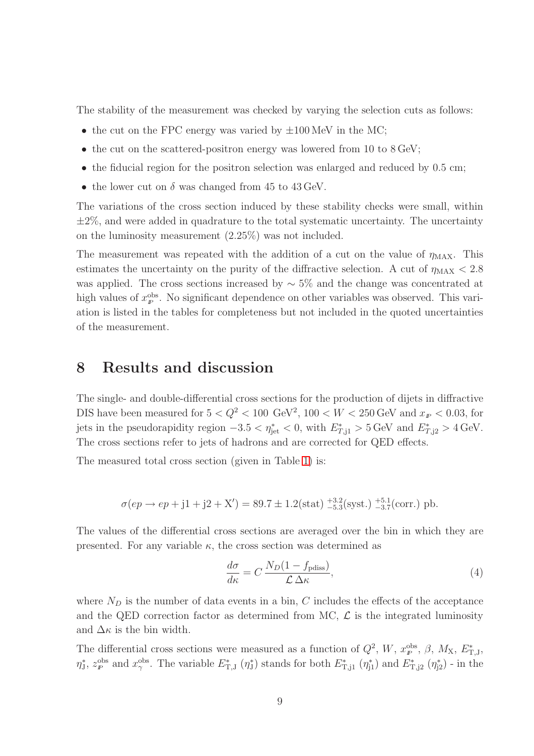The stability of the measurement was checked by varying the selection cuts as follows:

- the cut on the FPC energy was varied by  $\pm 100$  MeV in the MC;
- the cut on the scattered-positron energy was lowered from 10 to 8 GeV;
- the fiducial region for the positron selection was enlarged and reduced by 0.5 cm;
- the lower cut on  $\delta$  was changed from 45 to 43 GeV.

The variations of the cross section induced by these stability checks were small, within  $\pm 2\%$ , and were added in quadrature to the total systematic uncertainty. The uncertainty on the luminosity measurement (2.25%) was not included.

The measurement was repeated with the addition of a cut on the value of  $\eta_{\text{MAX}}$ . This estimates the uncertainty on the purity of the diffractive selection. A cut of  $\eta_{MAX} < 2.8$ was applied. The cross sections increased by  $\sim$  5% and the change was concentrated at high values of  $x_{p}^{\text{obs}}$ . No significant dependence on other variables was observed. This variation is listed in the tables for completeness but not included in the quoted uncertainties of the measurement.

### 8 Results and discussion

The single- and double-differential cross sections for the production of dijets in diffractive DIS have been measured for  $5 < Q^2 < 100 \text{ GeV}^2$ ,  $100 < W < 250 \text{ GeV}$  and  $x_F < 0.03$ , for jets in the pseudorapidity region  $-3.5 < \eta_{jet}^* < 0$ , with  $E^*_{T,1} > 5$  GeV and  $E^*_{T,12} > 4$  GeV. The cross sections refer to jets of hadrons and are corrected for QED effects.

The measured total cross section (given in Table [1\)](#page-22-0) is:

$$
\sigma(ep \to ep + j1 + j2 + X') = 89.7 \pm 1.2(\text{stat})^{+3.2}_{-5.3}(\text{syst.})^{+5.1}_{-3.7}(\text{corr.}) \text{ pb.}
$$

The values of the differential cross sections are averaged over the bin in which they are presented. For any variable  $\kappa$ , the cross section was determined as

$$
\frac{d\sigma}{d\kappa} = C \frac{N_D (1 - f_{\text{pdiss}})}{\mathcal{L} \Delta \kappa},\tag{4}
$$

where  $N_D$  is the number of data events in a bin, C includes the effects of the acceptance and the QED correction factor as determined from MC,  $\mathcal{L}$  is the integrated luminosity and  $\Delta \kappa$  is the bin width.

The differential cross sections were measured as a function of  $Q^2$ , W,  $x_{\rm F}^{\rm obs}$ ,  $\beta$ ,  $M_{\rm X}$ ,  $E_{\rm T,J}^*$ ,  $\eta_{\text{J}}^*$ ,  $z_{\text{P}}^{\text{obs}}$  and  $x_{\gamma}^{\text{obs}}$ . The variable  $E_{\text{T},\text{J}}^*$  ( $\eta_{\text{J}}^*$ ) stands for both  $E_{\text{T},\text{j1}}^*$  ( $\eta_{\text{j1}}^*$ ) and  $E_{\text{T},\text{j2}}^*$  ( $\eta_{\text{j2}}^*$ ) - in the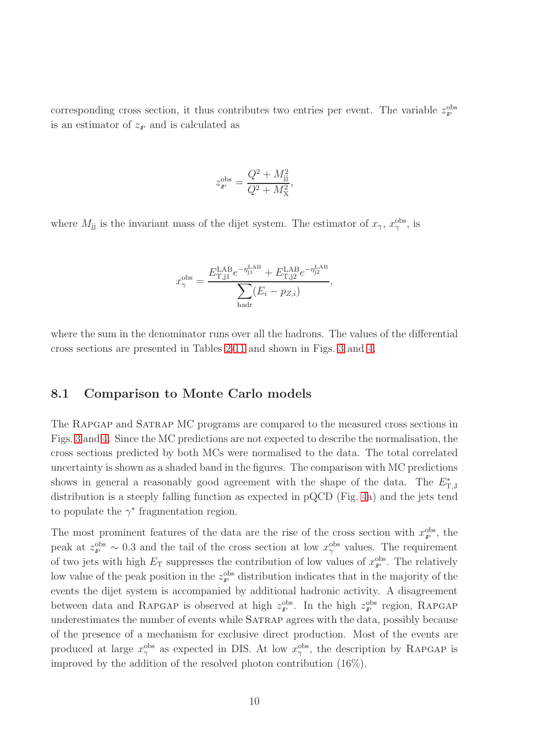corresponding cross section, it thus contributes two entries per event. The variable  $z_p^{\text{obs}}$ is an estimator of  $z_p$  and is calculated as

$$
z_{\rm P}^{\rm obs} = \frac{Q^2 + M_{\rm jj}^2}{Q^2 + M_{\rm X}^2},
$$

where  $M_{jj}$  is the invariant mass of the dijet system. The estimator of  $x_{\gamma}$ ,  $x_{\gamma}^{\text{obs}}$ , is

$$
x_{\gamma}^{\text{obs}} = \frac{E_{\text{T,j1}}^{\text{LAB}} e^{-\eta_{\text{j1}}^{\text{LAB}}} + E_{\text{T,j2}}^{\text{LAB}} e^{-\eta_{\text{j2}}^{\text{LAB}}}}{\sum_{\text{hadr}} (E_i - p_{Z,i})},
$$

where the sum in the denominator runs over all the hadrons. The values of the differential cross sections are presented in Tables [2](#page-23-0)[-11](#page-28-0) and shown in Figs. [3](#page-33-0) and [4.](#page-34-0)

#### 8.1 Comparison to Monte Carlo models

The Rapgap and Satrap MC programs are compared to the measured cross sections in Figs. [3](#page-33-0) and [4.](#page-34-0) Since the MC predictions are not expected to describe the normalisation, the cross sections predicted by both MCs were normalised to the data. The total correlated uncertainty is shown as a shaded band in the figures. The comparison with MC predictions shows in general a reasonably good agreement with the shape of the data. The  $E_{\text{T},J}^{*}$ distribution is a steeply falling function as expected in pQCD (Fig. [4a](#page-34-0)) and the jets tend to populate the  $\gamma^*$  fragmentation region.

The most prominent features of the data are the rise of the cross section with  $x_{p}^{\text{obs}}$ , the peak at  $z_P^{\text{obs}} \sim 0.3$  and the tail of the cross section at low  $x_\gamma^{\text{obs}}$  values. The requirement of two jets with high  $E_T$  suppresses the contribution of low values of  $x_p^{\text{obs}}$ . The relatively low value of the peak position in the  $z_p^{\text{obs}}$  distribution indicates that in the majority of the events the dijet system is accompanied by additional hadronic activity. A disagreement between data and RAPGAP is observed at high  $z_{\rm F}^{\rm obs}$ . In the high  $z_{\rm F}^{\rm obs}$  region, RAPGAP underestimates the number of events while SATRAP agrees with the data, possibly because of the presence of a mechanism for exclusive direct production. Most of the events are produced at large  $x_{\gamma}^{\text{obs}}$  as expected in DIS. At low  $x_{\gamma}^{\text{obs}}$ , the description by RAPGAP is improved by the addition of the resolved photon contribution (16%).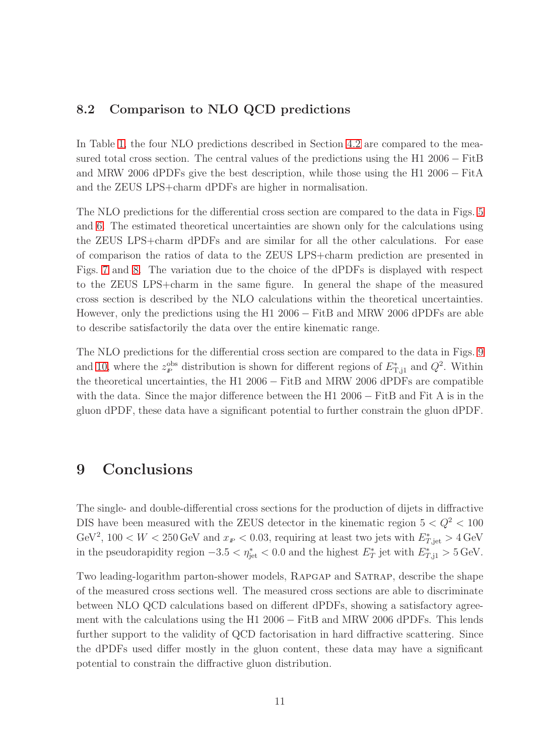### 8.2 Comparison to NLO QCD predictions

In Table [1,](#page-22-0) the four NLO predictions described in Section [4.2](#page-10-0) are compared to the measured total cross section. The central values of the predictions using the H1 2006 − FitB and MRW 2006 dPDFs give the best description, while those using the H1 2006 − FitA and the ZEUS LPS+charm dPDFs are higher in normalisation.

The NLO predictions for the differential cross section are compared to the data in Figs. [5](#page-35-0) and [6.](#page-36-0) The estimated theoretical uncertainties are shown only for the calculations using the ZEUS LPS+charm dPDFs and are similar for all the other calculations. For ease of comparison the ratios of data to the ZEUS LPS+charm prediction are presented in Figs. [7](#page-37-0) and [8.](#page-38-0) The variation due to the choice of the dPDFs is displayed with respect to the ZEUS LPS+charm in the same figure. In general the shape of the measured cross section is described by the NLO calculations within the theoretical uncertainties. However, only the predictions using the H1 2006 − FitB and MRW 2006 dPDFs are able to describe satisfactorily the data over the entire kinematic range.

The NLO predictions for the differential cross section are compared to the data in Figs. [9](#page-39-0) and [10,](#page-40-0) where the  $z_p^{\text{obs}}$  distribution is shown for different regions of  $E^*_{T,j1}$  and  $Q^2$ . Within the theoretical uncertainties, the H1 2006 − FitB and MRW 2006 dPDFs are compatible with the data. Since the major difference between the H1 2006 − FitB and Fit A is in the gluon dPDF, these data have a significant potential to further constrain the gluon dPDF.

### 9 Conclusions

The single- and double-differential cross sections for the production of dijets in diffractive DIS have been measured with the ZEUS detector in the kinematic region  $5 < Q^2 < 100$ GeV<sup>2</sup>, 100 < W < 250 GeV and  $x_F$  < 0.03, requiring at least two jets with  $E^*_{T,\text{jet}} > 4$  GeV in the pseudorapidity region  $-3.5 < \eta_{jet}^* < 0.0$  and the highest  $E^*_{T}$  jet with  $E^*_{T,11} > 5 \text{ GeV}$ .

Two leading-logarithm parton-shower models, Rapgap and Satrap, describe the shape of the measured cross sections well. The measured cross sections are able to discriminate between NLO QCD calculations based on different dPDFs, showing a satisfactory agreement with the calculations using the H1 2006 − FitB and MRW 2006 dPDFs. This lends further support to the validity of QCD factorisation in hard diffractive scattering. Since the dPDFs used differ mostly in the gluon content, these data may have a significant potential to constrain the diffractive gluon distribution.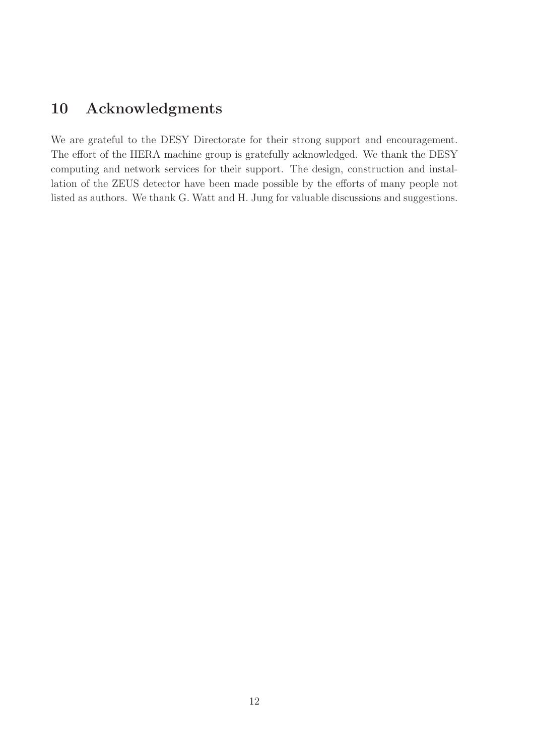# 10 Acknowledgments

We are grateful to the DESY Directorate for their strong support and encouragement. The effort of the HERA machine group is gratefully acknowledged. We thank the DESY computing and network services for their support. The design, construction and installation of the ZEUS detector have been made possible by the efforts of many people not listed as authors. We thank G. Watt and H. Jung for valuable discussions and suggestions.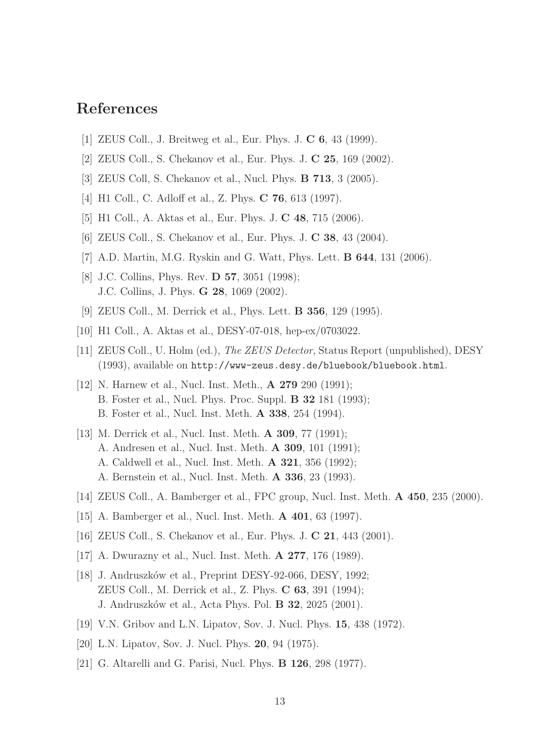# References

- [1] ZEUS Coll., J. Breitweg et al., Eur. Phys. J. C 6, 43 (1999).
- [2] ZEUS Coll., S. Chekanov et al., Eur. Phys. J. C 25, 169 (2002).
- [3] ZEUS Coll, S. Chekanov et al., Nucl. Phys. B 713, 3 (2005).
- [4] H1 Coll., C. Adloff et al., Z. Phys. C 76, 613 (1997).
- [5] H1 Coll., A. Aktas et al., Eur. Phys. J. C 48, 715 (2006).
- [6] ZEUS Coll., S. Chekanov et al., Eur. Phys. J. C 38, 43 (2004).
- [7] A.D. Martin, M.G. Ryskin and G. Watt, Phys. Lett. B 644, 131 (2006).
- [8] J.C. Collins, Phys. Rev. **D 57**, 3051 (1998); J.C. Collins, J. Phys. G 28, 1069 (2002).
- [9] ZEUS Coll., M. Derrick et al., Phys. Lett. B 356, 129 (1995).
- [10] H1 Coll., A. Aktas et al., DESY-07-018, hep-ex/0703022.
- [11] ZEUS Coll., U. Holm (ed.), The ZEUS Detector, Status Report (unpublished), DESY (1993), available on http://www-zeus.desy.de/bluebook/bluebook.html.
- [12] N. Harnew et al., Nucl. Inst. Meth., **A 279** 290 (1991); B. Foster et al., Nucl. Phys. Proc. Suppl. B 32 181 (1993); B. Foster et al., Nucl. Inst. Meth. A 338, 254 (1994).
- [13] M. Derrick et al., Nucl. Inst. Meth. **A 309**, 77 (1991); A. Andresen et al., Nucl. Inst. Meth. A 309, 101 (1991); A. Caldwell et al., Nucl. Inst. Meth. A 321, 356 (1992); A. Bernstein et al., Nucl. Inst. Meth. A 336, 23 (1993).
- [14] ZEUS Coll., A. Bamberger et al., FPC group, Nucl. Inst. Meth. A 450, 235 (2000).
- [15] A. Bamberger et al., Nucl. Inst. Meth. A 401, 63 (1997).
- [16] ZEUS Coll., S. Chekanov et al., Eur. Phys. J. **C 21**, 443 (2001).
- [17] A. Dwurazny et al., Nucl. Inst. Meth. A 277, 176 (1989).
- [18] J. Andruszków et al., Preprint DESY-92-066, DESY, 1992; ZEUS Coll., M. Derrick et al., Z. Phys. C 63, 391 (1994); J. Andruszków et al., Acta Phys. Pol. **B 32**, 2025 (2001).
- [19] V.N. Gribov and L.N. Lipatov, Sov. J. Nucl. Phys. 15, 438 (1972).
- [20] L.N. Lipatov, Sov. J. Nucl. Phys. **20**, 94 (1975).
- [21] G. Altarelli and G. Parisi, Nucl. Phys. B 126, 298 (1977).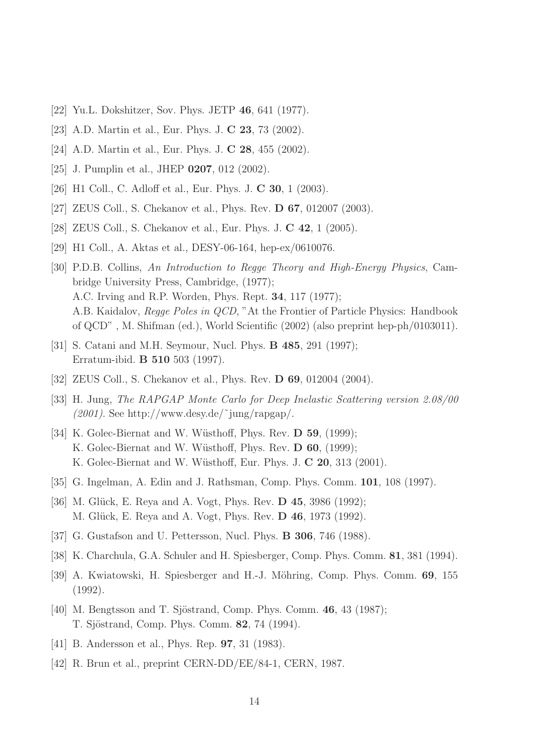- [22] Yu.L. Dokshitzer, Sov. Phys. JETP 46, 641 (1977).
- [23] A.D. Martin et al., Eur. Phys. J. C 23, 73 (2002).
- [24] A.D. Martin et al., Eur. Phys. J. C 28, 455 (2002).
- [25] J. Pumplin et al., JHEP 0207, 012 (2002).
- [26] H1 Coll., C. Adloff et al., Eur. Phys. J. C 30, 1 (2003).
- [27] ZEUS Coll., S. Chekanov et al., Phys. Rev. **D 67**, 012007 (2003).
- [28] ZEUS Coll., S. Chekanov et al., Eur. Phys. J. C 42, 1 (2005).
- [29] H1 Coll., A. Aktas et al., DESY-06-164, hep-ex/0610076.
- [30] P.D.B. Collins, An Introduction to Regge Theory and High-Energy Physics, Cambridge University Press, Cambridge, (1977); A.C. Irving and R.P. Worden, Phys. Rept. 34, 117 (1977); A.B. Kaidalov, Regge Poles in QCD, "At the Frontier of Particle Physics: Handbook of QCD" , M. Shifman (ed.), World Scientific (2002) (also preprint hep-ph/0103011).
- [31] S. Catani and M.H. Seymour, Nucl. Phys. B 485, 291 (1997); Erratum-ibid. B 510 503 (1997).
- [32] ZEUS Coll., S. Chekanov et al., Phys. Rev. D 69, 012004 (2004).
- [33] H. Jung, The RAPGAP Monte Carlo for Deep Inelastic Scattering version 2.08/00  $(2001)$ . See http://www.desy.de/~jung/rapgap/.
- [34] K. Golec-Biernat and W. Wüsthoff, Phys. Rev.  $\bf{D}$  59, (1999); K. Golec-Biernat and W. Wüsthoff, Phys. Rev. D 60, (1999); K. Golec-Biernat and W. Wüsthoff, Eur. Phys. J. C 20, 313 (2001).
- [35] G. Ingelman, A. Edin and J. Rathsman, Comp. Phys. Comm. 101, 108 (1997).
- [36] M. Glück, E. Reya and A. Vogt, Phys. Rev. **D** 45, 3986 (1992); M. Glück, E. Reya and A. Vogt, Phys. Rev. **D 46**, 1973 (1992).
- [37] G. Gustafson and U. Pettersson, Nucl. Phys. **B 306**, 746 (1988).
- [38] K. Charchula, G.A. Schuler and H. Spiesberger, Comp. Phys. Comm. 81, 381 (1994).
- [39] A. Kwiatowski, H. Spiesberger and H.-J. Möhring, Comp. Phys. Comm. 69, 155 (1992).
- [40] M. Bengtsson and T. Sjöstrand, Comp. Phys. Comm.  $46, 43$  (1987); T. Sjöstrand, Comp. Phys. Comm. 82, 74 (1994).
- [41] B. Andersson et al., Phys. Rep. **97**, 31 (1983).
- [42] R. Brun et al., preprint CERN-DD/EE/84-1, CERN, 1987.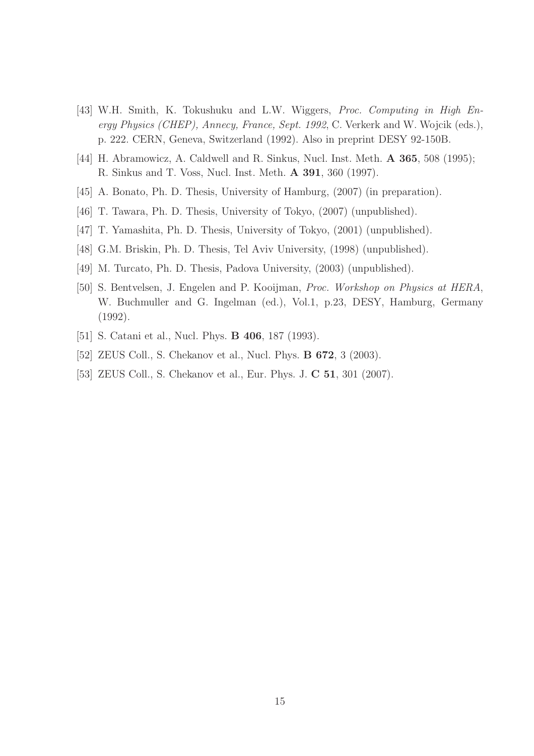- [43] W.H. Smith, K. Tokushuku and L.W. Wiggers, Proc. Computing in High Energy Physics (CHEP), Annecy, France, Sept. 1992, C. Verkerk and W. Wojcik (eds.), p. 222. CERN, Geneva, Switzerland (1992). Also in preprint DESY 92-150B.
- [44] H. Abramowicz, A. Caldwell and R. Sinkus, Nucl. Inst. Meth. **A 365**, 508 (1995); R. Sinkus and T. Voss, Nucl. Inst. Meth. A 391, 360 (1997).
- [45] A. Bonato, Ph. D. Thesis, University of Hamburg, (2007) (in preparation).
- [46] T. Tawara, Ph. D. Thesis, University of Tokyo, (2007) (unpublished).
- [47] T. Yamashita, Ph. D. Thesis, University of Tokyo, (2001) (unpublished).
- [48] G.M. Briskin, Ph. D. Thesis, Tel Aviv University, (1998) (unpublished).
- [49] M. Turcato, Ph. D. Thesis, Padova University, (2003) (unpublished).
- [50] S. Bentvelsen, J. Engelen and P. Kooijman, Proc. Workshop on Physics at HERA, W. Buchmuller and G. Ingelman (ed.), Vol.1, p.23, DESY, Hamburg, Germany (1992).
- [51] S. Catani et al., Nucl. Phys. **B 406**, 187 (1993).
- [52] ZEUS Coll., S. Chekanov et al., Nucl. Phys. **B 672**, 3 (2003).
- [53] ZEUS Coll., S. Chekanov et al., Eur. Phys. J. C 51, 301 (2007).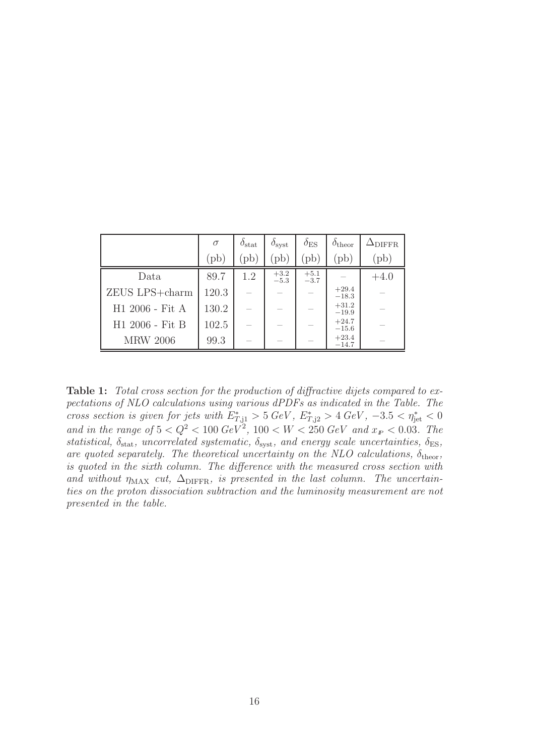|                 | $\sigma$ | $\delta_{\rm stat}$ | $\delta_{\text{syst}}$ | $\delta_{\rm ES}$ | $\delta_{\text{theor}}$ | $\Delta_{\rm DIFFR}$ |
|-----------------|----------|---------------------|------------------------|-------------------|-------------------------|----------------------|
|                 | (pb)     | $'pb$ ,             | (pb)                   | $\mathrm{pb}$     | (b)                     | $(\text{pb})$        |
| Data            | 89.7     | 1.2                 | $+3.2$<br>$-5.3$       | $+5.1$<br>$-3.7$  |                         | $+4.0$               |
| ZEUS LPS+charm  | 120.3    |                     |                        |                   | $+29.4$<br>$-18.3$      |                      |
| H1 2006 - Fit A | 130.2    |                     |                        |                   | $+31.2$<br>$-19.9$      |                      |
| H1 2006 - Fit B | 102.5    |                     |                        |                   | $+24.7$<br>$-15.6$      |                      |
| <b>MRW 2006</b> | 99.3     |                     |                        |                   | $+23.4$<br>$-14.7$      |                      |

<span id="page-22-0"></span>Table 1: Total cross section for the production of diffractive dijets compared to expectations of NLO calculations using various dPDFs as indicated in the Table. The cross section is given for jets with  $E^*_{T,1} > 5 \text{ GeV}$ ,  $E^*_{T,12} > 4 \text{ GeV}$ ,  $-3.5 < \eta^*_{\text{jet}} < 0$ and in the range of  $5 < Q^2 < 100 \text{ GeV}^2$ ,  $100 < W < 250 \text{ GeV}$  and  $x_F < 0.03$ . The statistical,  $\delta_{\text{stat}}$ , uncorrelated systematic,  $\delta_{\text{syst}}$ , and energy scale uncertainties,  $\delta_{\text{ES}}$ , are quoted separately. The theoretical uncertainty on the NLO calculations,  $\delta_{\text{theor}}$ , is quoted in the sixth column. The difference with the measured cross section with and without  $\eta_{MAX}$  cut,  $\Delta_{DIFFR}$ , is presented in the last column. The uncertainties on the proton dissociation subtraction and the luminosity measurement are not presented in the table.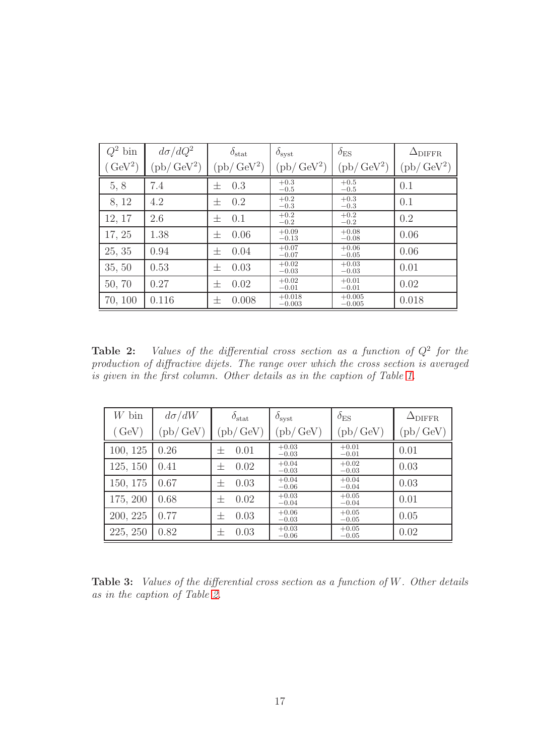| $Q^2$ bin           | $d\sigma/dQ^2$             | $\delta_{\text{stat}}$     | $\delta_{\rm syst}$        | $\delta_{\rm ES}$          | $\Delta_{\rm DIFFR}$         |
|---------------------|----------------------------|----------------------------|----------------------------|----------------------------|------------------------------|
| (GeV <sup>2</sup> ) | $(\text{pb}/\text{GeV}^2)$ | $(\text{pb}/\text{GeV}^2)$ | $(\text{pb}/\text{GeV}^2)$ | $(\text{pb}/\text{GeV}^2)$ | $(\text{pb}/\,\text{GeV}^2)$ |
| 5, 8                | 7.4                        | 0.3<br>士                   | $+0.3$<br>$-0.5$           | $+0.5$<br>$-0.5$           | 0.1                          |
| 8, 12               | 4.2                        | 0.2<br>士                   | $+0.2$<br>$-0.3$           | $+0.3$<br>$-0.3$           | 0.1                          |
| 12, 17              | 2.6                        | 0.1<br>士                   | $+0.2$<br>$-0.2$           | $+0.2$<br>$-0.2$           | 0.2                          |
| 17, 25              | 1.38                       | 0.06<br>士                  | $+0.09$<br>$-0.13$         | $+0.08$<br>$-0.08$         | 0.06                         |
| 25, 35              | 0.94                       | 0.04<br>士                  | $+0.07$<br>$-0.07$         | $+0.06$<br>$-0.05$         | 0.06                         |
| 35, 50              | 0.53                       | 0.03<br>士                  | $+0.02$<br>$-0.03$         | $+0.03$<br>$-0.03$         | 0.01                         |
| 50, 70              | 0.27                       | 0.02<br>士                  | $+0.02$<br>$-0.01$         | $+0.01$<br>$-0.01$         | 0.02                         |
| 70, 100             | 0.116                      | 0.008<br>士                 | $+0.018$<br>$-0.003$       | $+0.005$<br>$-0.005$       | 0.018                        |

<span id="page-23-0"></span>**Table 2:** Values of the differential cross section as a function of  $Q^2$  for the production of diffractive dijets. The range over which the cross section is averaged is given in the first column. Other details as in the caption of Table [1.](#page-22-0)

| $W$ bin       | $d\sigma/dW$       | $\delta_{\text{stat}}$     | $\delta_{\rm syst}$        | $\delta_{\rm ES}$  | $\Delta_{\rm DIFFR}$       |
|---------------|--------------------|----------------------------|----------------------------|--------------------|----------------------------|
| $\gamma$ GeV) | $p\}/\,{\rm GeV})$ | $(\text{pb}/\,\text{GeV})$ | $(\text{pb}/\,\text{GeV})$ | (pb/GeV)           | $(\text{pb}/\,\text{GeV})$ |
| 100, 125      | 0.26               | 0.01<br>$^+$               | $+0.03$<br>$-0.03$         | $+0.01$<br>$-0.01$ | 0.01                       |
| 125, 150      | 0.41               | 0.02<br>$^+$               | $+0.04$<br>$-0.03$         | $+0.02$<br>$-0.03$ | 0.03                       |
| 150, 175      | 0.67               | 0.03<br>$^+$               | $+0.04$<br>$-0.06$         | $+0.04$<br>$-0.04$ | 0.03                       |
| 175, 200      | 0.68               | 0.02<br>$^+$               | $+0.03$<br>$-0.04$         | $+0.05$<br>$-0.04$ | 0.01                       |
| 200, 225      | 0.77               | 0.03<br>$\pm$              | $+0.06$<br>$-0.03$         | $+0.05$<br>$-0.05$ | 0.05                       |
| 225, 250      | 0.82               | 0.03<br>十                  | $+0.03$<br>$-0.06$         | $+0.05$<br>$-0.05$ | 0.02                       |

**Table 3:** Values of the differential cross section as a function of  $W$ . Other details as in the caption of Table [2.](#page-23-0)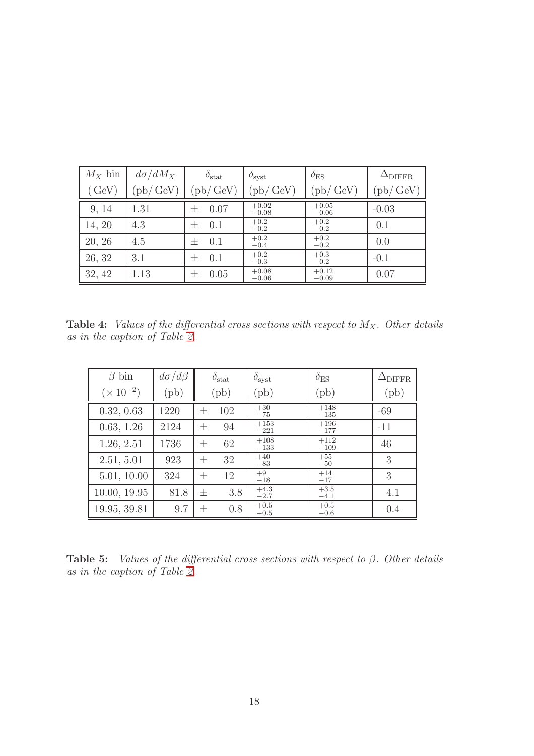| $M_X$ bin                 | $d\sigma/dM_X$ | $\delta_{\text{stat}}$ | $\delta_{\rm syst}$        | $\delta_{\rm ES}$  | $\Delta_{\rm DIFFR}$ |
|---------------------------|----------------|------------------------|----------------------------|--------------------|----------------------|
| $\left(\text{GeV}\right)$ | $'pb/$ GeV)    | $\text{pb}/\text{GeV}$ | $(\text{pb}/\,\text{GeV})$ | $'pb/$ GeV)        | (pb/GeV)             |
| 9, 14                     | 1.31           | 0.07<br>士              | $+0.02$<br>$-0.08$         | $+0.05$<br>$-0.06$ | $-0.03$              |
| 14, 20                    | 4.3            | 0.1<br>士               | $+0.2$<br>$-0.2$           | $+0.2$<br>$-0.2$   | 0.1                  |
| 20, 26                    | 4.5            | 0.1<br>$\pm$           | $+0.2$<br>$-0.4$           | $+0.2$<br>$-0.2$   | 0.0                  |
| 26, 32                    | 3.1            | 0.1<br>士               | $+0.2$<br>$-0.3$           | $+0.3$<br>$-0.2$   | $-0.1$               |
| 32, 42                    | 1.13           | 0.05<br>士              | $+0.08$<br>$-0.06$         | $+0.12$<br>$-0.09$ | 0.07                 |

**Table 4:** Values of the differential cross sections with respect to  $M_X$ . Other details as in the caption of Table [2.](#page-23-0)

| $\beta$ bin        | $d\sigma/d\beta$ | $\delta_{\text{stat}}$ | $\delta_{\text{syst}}$ | $\delta_{\rm ES}$ | $\Delta_{\rm DIFFR}$ |
|--------------------|------------------|------------------------|------------------------|-------------------|----------------------|
| $(\times 10^{-2})$ | $(\text{pb})$    | $(\text{pb})$          | (pb)                   | $(\mathrm{pb})$   | $(\mathrm{pb})$      |
| 0.32, 0.63         | 1220             | 102<br>士               | $+30$<br>$-75$         | $+148$<br>$-135$  | $-69$                |
| 0.63, 1.26         | 2124             | 94<br>士                | $+153$<br>$-221$       | $+196$<br>$-177$  | $-11$                |
| 1.26, 2.51         | 1736             | 62<br>士                | $+108$<br>$-133$       | $+112$<br>$-109$  | 46                   |
| 2.51, 5.01         | 923              | 32<br>士                | $+40$<br>$-83$         | $+55$<br>$-50$    | 3                    |
| 5.01, 10.00        | 324              | 12<br>士                | $+9$<br>$-18$          | $+14$<br>$-17$    | 3                    |
| 10.00, 19.95       | 81.8             | 3.8<br>士               | $+4.3$<br>$-2.7$       | $+3.5$<br>$-4.1$  | 4.1                  |
| 19.95, 39.81       | 9.7              | 0.8<br>士               | $+0.5$<br>$-0.5$       | $+0.5$<br>$-0.6$  | 0.4                  |

Table 5: Values of the differential cross sections with respect to  $\beta$ . Other details as in the caption of Table [2.](#page-23-0)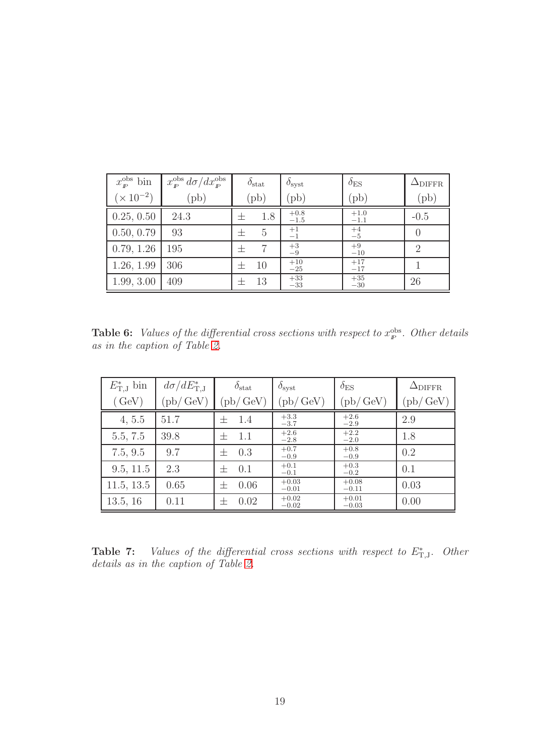| $x_{\rm F}^{\rm obs}$ bin | $x^{\rm obs}_{p} d\sigma/dx^{\rm obs}_{p}$ | $\delta_{\rm stat}$ | $\delta_{\rm syst}$     | $\delta_{\rm ES}$ | $\Delta_{\rm DIFFR}$ |
|---------------------------|--------------------------------------------|---------------------|-------------------------|-------------------|----------------------|
| $(\times 10^{-2})$        | $(\text{pb})$                              | $(\text{pb})$       | (pb)                    | $(\text{pb})$     | $(\text{pb})$        |
| 0.25, 0.50                | 24.3                                       | 1.8                 | $^{+0.8}_{-1.5}$        | $^{+1.0}_{-1.1}$  | $-0.5$               |
| 0.50, 0.79                | 93                                         | 5<br>士              | $^{+1}_{-1}$            | $^{+4}_{-5}$      | $\theta$             |
| 0.79, 1.26                | 195                                        | 士                   | $\substack{+3 \\ -9}$   | $+9$<br>$-10$     | $\overline{2}$       |
| 1.26, 1.99                | 306                                        | 10<br>士             | $\substack{+10 \\ -25}$ | $+17$<br>$-17$    |                      |
| 1.99, 3.00                | 409                                        | 13                  | $\substack{+33 \\ -33}$ | $+35$<br>$-30$    | 26                   |

**Table 6:** Values of the differential cross sections with respect to  $x_{p}^{\text{obs}}$ . Other details as in the caption of Table [2.](#page-23-0)

| $E_{\text{T},\text{J}}^{*}$ bin | $d\sigma/dE_{\rm T,J}^*$ | $\delta_{\text{stat}}$ | $\delta_{\text{syst}}$ | $\delta_{\rm ES}$          | $\Delta_{\rm DIFFR}$ |
|---------------------------------|--------------------------|------------------------|------------------------|----------------------------|----------------------|
| (GeV)                           | (pb/GeV)                 | (pb/GeV)               | (pb/GeV)               | $(\text{pb}/\,\text{GeV})$ | (pb/GeV)             |
| 4, 5.5                          | 51.7                     | 1.4<br>士               | $+3.3$<br>$-3.7$       | $+2.6$<br>$-2.9$           | 2.9                  |
| 5.5, 7.5                        | 39.8                     | 1.1<br>$^+$            | $+2.6$<br>$-2.8$       | $+2.2$<br>$-2.0$           | 1.8                  |
| 7.5, 9.5                        | 9.7                      | 0.3<br>士               | $+0.7$<br>$-0.9$       | $+0.8$<br>$-0.9$           | 0.2                  |
| 9.5, 11.5                       | 2.3                      | 0.1<br>士               | $+0.1$<br>$-0.1$       | $+0.3$<br>$-0.2$           | 0.1                  |
| 11.5, 13.5                      | 0.65                     | 0.06<br>$\pm$          | $+0.03$<br>$-0.01$     | $+0.08$<br>$-0.11$         | 0.03                 |
| 13.5, 16                        | 0.11                     | 0.02<br>士              | $+0.02$<br>$-0.02$     | $+0.01$<br>$-0.03$         | 0.00                 |

**Table 7:** Values of the differential cross sections with respect to  $E_{T,J}^*$ . Other details as in the caption of Table [2.](#page-23-0)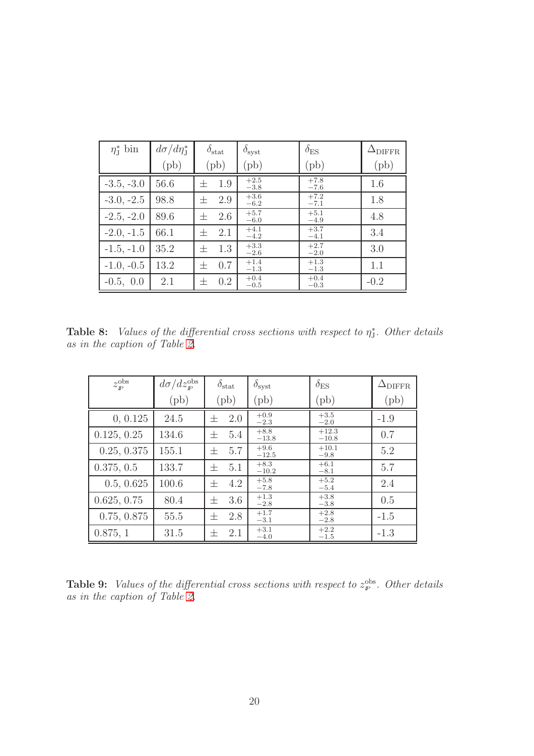| $\eta_{\text{I}}^*$ bin | $d\sigma/d\eta_{\rm J}^*$ | $\delta_{\rm stat}$                    | $\delta_{\rm syst}$ | $\delta_{\rm ES}$ | $\Delta_{\rm DIFFR}$ |
|-------------------------|---------------------------|----------------------------------------|---------------------|-------------------|----------------------|
|                         | $(\text{pb})$             | $(\text{pb})$                          | $(\text{pb})$       | $(\text{pb})$     | (pb)                 |
| $-3.5, -3.0$            | 56.6                      | 1.9<br>士                               | $+2.5$<br>$-3.8$    | $+7.8$<br>$-7.6$  | 1.6                  |
| $-3.0, -2.5$            | 98.8                      | 2.9<br>士                               | $+3.6$<br>$-6.2$    | $+7.2$<br>$-7.1$  | 1.8                  |
| $-2.5, -2.0$            | 89.6                      | 2.6<br>士                               | $+5.7$<br>$-6.0$    | $+5.1$<br>$-4.9$  | 4.8                  |
| $-2.0, -1.5$            | 66.1                      | 2.1<br>$\hspace{0.1mm} +$              | $+4.1$<br>$-4.2$    | $+3.7$<br>$-4.1$  | 3.4                  |
| $-1.5, -1.0$            | 35.2                      | 1.3<br>士                               | $+3.3$<br>$-2.6$    | $+2.7$<br>$-2.0$  | 3.0                  |
| $-1.0, -0.5$            | 13.2                      | 0.7<br>士                               | $+1.4$<br>$-1.3$    | $+1.3$<br>$-1.3$  | 1.1                  |
| $-0.5, 0.0$             | 2.1                       | 0.2<br>$\hspace{.1cm} + \hspace{.1cm}$ | $+0.4$<br>$-0.5$    | $+0.4$<br>$-0.3$  | $-0.2$               |

**Table 8:** Values of the differential cross sections with respect to  $\eta_{J}^{*}$ . Other details as in the caption of Table [2.](#page-23-0)

| $z_{\rm \scriptscriptstyle I\!P}^{\rm obs}$ | $d\sigma/dz_{\rm\scriptscriptstyle P}^{\rm obs}$ | $\delta_{\rm stat}$ | $\delta_{\rm syst}$ | $\delta_{\rm ES}$  | $\Delta_{\rm DIFFR}$ |
|---------------------------------------------|--------------------------------------------------|---------------------|---------------------|--------------------|----------------------|
|                                             | $(\text{pb})$                                    | $(\mathrm{pb})$     | $(\text{pb})$       | $(\text{pb})$      | $(\text{pb})$        |
| 0, 0.125                                    | 24.5                                             | 2.0<br>士            | $+0.9$<br>$-2.3$    | $+3.5$<br>$-2.0$   | $-1.9$               |
| 0.125, 0.25                                 | 134.6                                            | 5.4<br>士            | $+8.8$<br>$-13.8$   | $+12.3$<br>$-10.8$ | 0.7                  |
| 0.25, 0.375                                 | 155.1                                            | 5.7<br>士            | $+9.6$<br>$-12.5$   | $+10.1$<br>$-9.8$  | 5.2                  |
| 0.375, 0.5                                  | 133.7                                            | 5.1<br>士            | $+8.3$<br>$-10.2$   | $+6.1$<br>$-8.1$   | 5.7                  |
| 0.5, 0.625                                  | 100.6                                            | 4.2<br>士            | $+5.8$<br>$-7.8$    | $+5.2$<br>$-5.4$   | 2.4                  |
| 0.625, 0.75                                 | 80.4                                             | 3.6<br>士            | $+1.3$<br>$-2.8$    | $+3.8$<br>$-3.8$   | 0.5                  |
| 0.75, 0.875                                 | 55.5                                             | 2.8<br>士            | $+1.7$<br>$-3.1$    | $+2.8$<br>$-2.8$   | $-1.5$               |
| 0.875, 1                                    | 31.5                                             | 2.1<br>士            | $+3.1$<br>$-4.0$    | $+2.2$<br>$-1.5$   | $-1.3$               |

**Table 9:** Values of the differential cross sections with respect to  $z_{\rm F}^{\rm obs}$ . Other details as in the caption of Table [2.](#page-23-0)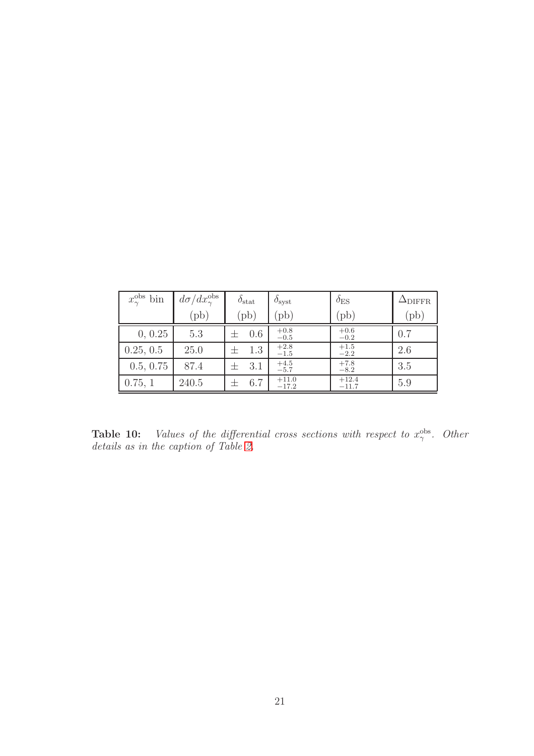| $x_{\gamma}^{\text{obs}}$ bin | $d\sigma/dx_{\gamma}^{\rm obs}$ | $\delta_{\text{stat}}$ | $\delta_{\text{syst}}$ | $\delta_{\rm ES}$  | $\Delta_{\rm DIFFR}$ |
|-------------------------------|---------------------------------|------------------------|------------------------|--------------------|----------------------|
|                               | $(\mathrm{pb})$                 | $(\text{pb})$          | $(\text{pb})$          | $(\text{pb})$      | $(\text{pb})$        |
| 0, 0.25                       | 5.3                             | 0.6                    | $+0.8$<br>$-0.5$       | $+0.6$<br>$-0.2$   | 0.7                  |
| 0.25, 0.5                     | 25.0                            | 1.3                    | $+2.8$<br>$-1.5$       | $+1.5$<br>$-2.2$   | 2.6                  |
| 0.5, 0.75                     | 87.4                            | 3.1                    | $+4.5$<br>$-5.7$       | $+7.8$<br>$-8.2$   | 3.5                  |
| 0.75, 1                       | 240.5                           | 6.7                    | $+11.0$<br>$-17.2$     | $+12.4$<br>$-11.7$ | 5.9                  |

**Table 10:** Values of the differential cross sections with respect to  $x_{\gamma}^{\text{obs}}$ . Other details as in the caption of Table [2.](#page-23-0)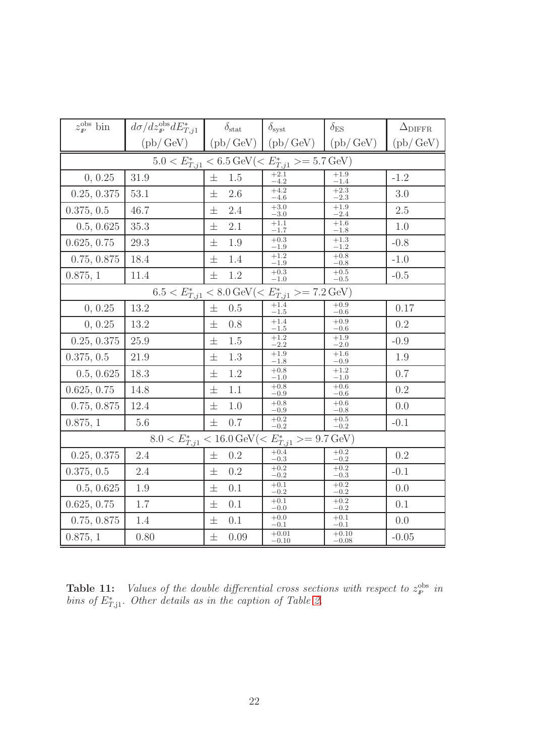| $z_{\rm p}^{\rm obs}$ bin                                                     | $d\sigma/dz_{\rm I\!P}^{\rm obs} dE_{T, j1}^*$                                   |       | $\delta_{\rm stat}$ | $\delta_{\rm syst}$                                                                      | $\delta_{\rm ES}$    | $\Delta_{\rm DIFFR}$       |  |  |  |  |
|-------------------------------------------------------------------------------|----------------------------------------------------------------------------------|-------|---------------------|------------------------------------------------------------------------------------------|----------------------|----------------------------|--|--|--|--|
|                                                                               | $(\text{pb}/\,\text{GeV})$ $(\text{pb}/\,\text{GeV})$ $(\text{pb}/\,\text{GeV})$ |       |                     |                                                                                          | (pb/GeV)             | $(\text{pb}/\,\text{GeV})$ |  |  |  |  |
| $5.0 < E^*_{T, j1} < 6.5 \, \text{GeV} (< E^*_{T, j1} > = 5.7 \, \text{GeV})$ |                                                                                  |       |                     |                                                                                          |                      |                            |  |  |  |  |
| 0, 0.25                                                                       | 31.9                                                                             | $\pm$ | 1.5                 | $+2.1$<br>$-4.2$                                                                         | $+1.9$<br>$-1.4$     | $-1.2$                     |  |  |  |  |
| 0.25, 0.375                                                                   | 53.1                                                                             | 士     | 2.6                 | $+4.2$<br>$^{-4.6}$                                                                      | $+2.3$<br>$^{-2.3}$  | 3.0                        |  |  |  |  |
| 0.375, 0.5                                                                    | 46.7                                                                             | 士     | 2.4                 | $+3.0$<br>$-3.0$                                                                         | $+1.9$<br>$-2.4$     | 2.5                        |  |  |  |  |
| 0.5, 0.625                                                                    | 35.3                                                                             | 士     | 2.1                 | $+1.1$<br>$^{-1.7}$                                                                      | $+1.6$<br>$^{-1.8}$  | 1.0                        |  |  |  |  |
| 0.625, 0.75                                                                   | 29.3                                                                             | 士     | 1.9                 | $+0.3$<br>$-1.9$                                                                         | $+1.3$<br>$-1.2$     | $-0.8$                     |  |  |  |  |
| 0.75, 0.875                                                                   | 18.4                                                                             | 士     | 1.4                 | $+1.2$<br>$^{-1.9}$                                                                      | $+0.8$<br>$-0.8$     | $-1.0$                     |  |  |  |  |
| 0.875, 1                                                                      | 11.4                                                                             | $\pm$ | 1.2                 | $+0.3$<br>$^{-1.0}$                                                                      | $+0.5$<br>$-0.5$     | $-0.5$                     |  |  |  |  |
|                                                                               |                                                                                  |       |                     | $6.5 < E^*_{T,j1} < 8.0 \,\text{GeV}(< E^*_{T,j1} > = 7.2 \,\text{GeV})$                 |                      |                            |  |  |  |  |
| 0, 0.25                                                                       | 13.2                                                                             | 士     | 0.5                 | $+1.4$<br>$^{-1.5}$                                                                      | $+0.9$<br>$-0.6$     | 0.17                       |  |  |  |  |
| 0, 0.25                                                                       | 13.2                                                                             | 士     | 0.8                 | $+1.4$<br>$-1.5$                                                                         | $+0.9$<br>$-0.6$     | 0.2                        |  |  |  |  |
| 0.25, 0.375                                                                   | 25.9                                                                             | 士     | 1.5                 | $+1.2$<br>$-2.2$                                                                         | $+1.9$<br>$^{ -2.0}$ | $-0.9$                     |  |  |  |  |
| 0.375, 0.5                                                                    | 21.9                                                                             | 士     | 1.3                 | $+1.9$<br>$^{-1.8}$                                                                      | $+1.6\,$<br>$-0.9$   | 1.9                        |  |  |  |  |
| 0.5, 0.625                                                                    | 18.3                                                                             | 士     | $1.2\,$             | $+0.8$<br>$-1.0$                                                                         | $+1.2$<br>$^{-1.0}$  | 0.7                        |  |  |  |  |
| 0.625, 0.75                                                                   | 14.8                                                                             | 士     | 1.1                 | $+0.8$<br>$-0.9$                                                                         | $+0.6$<br>$-0.6$     | 0.2                        |  |  |  |  |
| 0.75, 0.875                                                                   | 12.4                                                                             | 士     | 1.0                 | $+0.8$<br>$^{+0.9}$                                                                      | $+0.6$<br>$-0.8$     | 0.0                        |  |  |  |  |
| 0.875, 1                                                                      | 5.6                                                                              | 士     | 0.7                 | $+0.2$<br>$-0.2$                                                                         | $+0.5$<br>$-0.2$     | $-0.1$                     |  |  |  |  |
|                                                                               |                                                                                  |       |                     | $8.0 < E^*_{T,j1} < 16.0 \,\text{GeV} \left( \leq E^*_{T,j1} \right) = 9.7 \,\text{GeV}$ |                      |                            |  |  |  |  |
| 0.25, 0.375                                                                   | 2.4                                                                              | 士     | 0.2                 | $+0.4$<br>$-0.3$                                                                         | $+0.2$<br>$-0.2$     | 0.2                        |  |  |  |  |
| 0.375, 0.5                                                                    | 2.4                                                                              | $\pm$ | $0.2\,$             | $+0.2$<br>$-0.2$                                                                         | $+0.2$<br>$-0.3$     | $-0.1$                     |  |  |  |  |
| 0.5, 0.625                                                                    | 1.9                                                                              | 士     | 0.1                 | $+0.1$<br>$-0.2$                                                                         | $+0.2$<br>$-0.2$     | 0.0                        |  |  |  |  |
| 0.625, 0.75                                                                   | $1.7\,$                                                                          | 士     | 0.1                 | $+0.1$<br>$^{+0.0}$                                                                      | $+0.2$<br>$-0.2$     | 0.1                        |  |  |  |  |
| 0.75, 0.875                                                                   | 1.4                                                                              | 士     | 0.1                 | $+0.0$<br>$^{ -0.1}$                                                                     | $+0.1$<br>$^{ -0.1}$ | 0.0                        |  |  |  |  |
| 0.875, 1                                                                      | 0.80                                                                             | 士     | 0.09                | $+0.01$<br>$-0.10$                                                                       | $+0.10$<br>$-0.08$   | $-0.05$                    |  |  |  |  |

<span id="page-28-0"></span>**Table 11:** Values of the double differential cross sections with respect to  $z_p^{\text{obs}}$  in bins of  $E^*_{T,1}$ . Other details as in the caption of Table [2.](#page-23-0)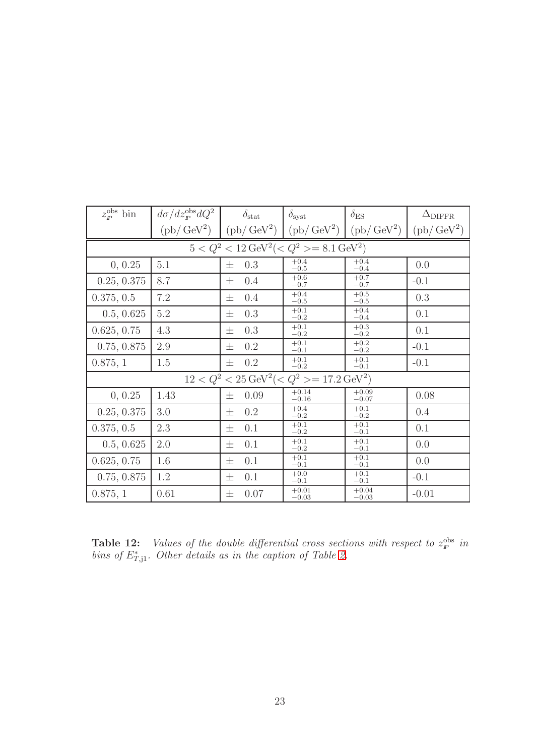| $z_{\rm p}^{\rm obs}$ bin                                    | $d\sigma/dz_{\rm \scriptscriptstyle I\!P}^{\rm obs}dQ^2$ | $\delta_{\text{stat}}$                                                                                      | $\delta_{\rm syst}$ | $\delta_{\rm ES}$  | $\Delta_{\rm DIFFR}$       |  |  |  |  |  |
|--------------------------------------------------------------|----------------------------------------------------------|-------------------------------------------------------------------------------------------------------------|---------------------|--------------------|----------------------------|--|--|--|--|--|
|                                                              |                                                          | $(\text{pb}/\text{GeV}^2)$ $(\text{pb}/\text{GeV}^2)$ $(\text{pb}/\text{GeV}^2)$ $(\text{pb}/\text{GeV}^2)$ |                     |                    | $(\text{pb}/\text{GeV}^2)$ |  |  |  |  |  |
| $5 < Q^2 < 12 \,\text{GeV}^2 (< Q^2 > = 8.1 \,\text{GeV}^2)$ |                                                          |                                                                                                             |                     |                    |                            |  |  |  |  |  |
| 0, 0.25                                                      | 5.1                                                      | 0.3<br>士                                                                                                    | $+0.4$<br>$-0.5$    | $+0.4$<br>$-0.4$   | 0.0                        |  |  |  |  |  |
| 0.25, 0.375                                                  | 8.7                                                      | 士<br>0.4                                                                                                    | $+0.6$<br>$-0.7$    | $+0.7$<br>$-0.7$   | $-0.1$                     |  |  |  |  |  |
| 0.375, 0.5                                                   | 7.2                                                      | 0.4<br>士                                                                                                    | $+0.4$<br>$-0.5$    | $+0.5$<br>$-0.5$   | 0.3                        |  |  |  |  |  |
| 0.5, 0.625                                                   | $5.2\,$                                                  | 0.3<br>士                                                                                                    | $+0.1$<br>$-0.2$    | $+0.4$<br>$-0.4$   | 0.1                        |  |  |  |  |  |
| 0.625, 0.75                                                  | 4.3                                                      | 0.3<br>士                                                                                                    | $+0.1$<br>$-0.2$    | $+0.3$<br>$-0.2$   | 0.1                        |  |  |  |  |  |
| 0.75, 0.875                                                  | 2.9                                                      | 0.2<br>士                                                                                                    | $+0.1$<br>$-0.1$    | $+0.2$<br>$-0.2$   | $-0.1$                     |  |  |  |  |  |
| 0.875, 1                                                     | 1.5                                                      | 0.2<br>$\pm$                                                                                                | $+0.1$<br>$-0.2$    | $+0.1$<br>$-0.1$   | $-0.1$                     |  |  |  |  |  |
|                                                              |                                                          | $12 < Q^2 < 25 \,\text{GeV}^2 (< Q^2 > = 17.2 \,\text{GeV}^2)$                                              |                     |                    |                            |  |  |  |  |  |
| 0, 0.25                                                      | 1.43                                                     | 0.09<br>士                                                                                                   | $+0.14$<br>$-0.16$  | $+0.09$<br>$-0.07$ | 0.08                       |  |  |  |  |  |
| 0.25, 0.375                                                  | 3.0                                                      | 0.2<br>士                                                                                                    | $+0.4$<br>$-0.2$    | $+0.1$<br>$-0.2$   | 0.4                        |  |  |  |  |  |
| 0.375, 0.5                                                   | 2.3                                                      | 0.1<br>士                                                                                                    | $+0.1$<br>$-0.2$    | $+0.1$<br>$-0.1$   | 0.1                        |  |  |  |  |  |
| 0.5, 0.625                                                   | 2.0                                                      | 0.1<br>士                                                                                                    | $+0.1$<br>$-0.2$    | $+0.1$<br>$-0.1$   | 0.0                        |  |  |  |  |  |
| 0.625, 0.75                                                  | 1.6                                                      | 0.1<br>士                                                                                                    | $+0.1$<br>$-0.1$    | $+0.1$<br>$-0.1$   | 0.0                        |  |  |  |  |  |
| 0.75, 0.875                                                  | 1.2                                                      | 0.1<br>士                                                                                                    | $+0.0$<br>$-0.1$    | $+0.1$<br>$-0.1$   | $-0.1$                     |  |  |  |  |  |
| 0.875, 1                                                     | 0.61                                                     | 0.07<br>士                                                                                                   | $+0.01$<br>$-0.03$  | $+0.04$<br>$-0.03$ | $-0.01$                    |  |  |  |  |  |

**Table 12:** Values of the double differential cross sections with respect to  $z_p^{\text{obs}}$  in bins of  $E^*_{T,1}$ . Other details as in the caption of Table [2.](#page-23-0)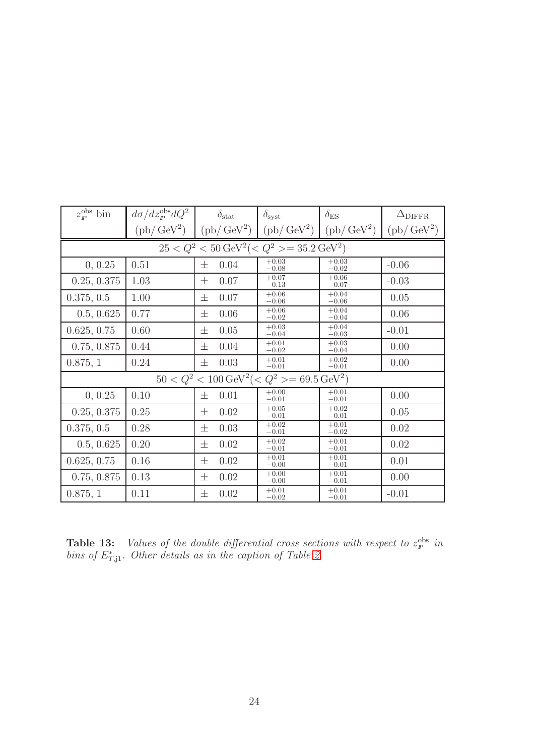| $z_{\rm p}^{\rm obs}$ bin                                          | $d\sigma/dz_{\rm p}^{\rm obs}dQ^2$   | $\delta_{\rm stat}$ | $\delta_{\rm syst}$ | $\delta_{\rm ES}$          | $\Delta_{\rm DIFFR}$       |
|--------------------------------------------------------------------|--------------------------------------|---------------------|---------------------|----------------------------|----------------------------|
|                                                                    | $\left(\text{pb}\right/\text{GeV}^2$ | $(pb/GeV^2)$        | $(pb/\text{GeV}^2)$ | $(\text{pb}/\text{GeV}^2)$ | $(\text{pb}/\text{GeV}^2)$ |
| $25 < Q^2 < 50 \,\text{GeV}^2$ (< $Q^2 > = 35.2 \,\text{GeV}^2$ )  |                                      |                     |                     |                            |                            |
| 0, 0.25                                                            | 0.51                                 | 0.04<br>士           | $+0.03$<br>$-0.08$  | $+0.03$<br>$-0.02$         | $-0.06$                    |
| 0.25, 0.375                                                        | 1.03                                 | 0.07<br>士           | $+0.07$<br>$-0.13$  | $+0.06$<br>$-0.07$         | $-0.03$                    |
| 0.375, 0.5                                                         | 1.00                                 | 0.07<br>士           | $+0.06$<br>$-0.06$  | $+0.04$<br>$-0.06$         | 0.05                       |
| 0.5, 0.625                                                         | 0.77                                 | 0.06<br>士           | $+0.06$<br>$-0.02$  | $+0.04$<br>$-0.04$         | 0.06                       |
| 0.625, 0.75                                                        | 0.60                                 | 0.05<br>士           | $+0.03$<br>$-0.04$  | $+0.04$<br>$-0.03$         | $-0.01$                    |
| 0.75, 0.875                                                        | 0.44                                 | 0.04<br>士           | $+0.01$<br>$-0.02$  | $+0.03$<br>$-0.04$         | 0.00                       |
| 0.875, 1                                                           | 0.24                                 | 0.03<br>士           | $+0.01$<br>$-0.01$  | $+0.02$<br>$-0.01$         | 0.00                       |
| $50 < Q^2 < 100 \,\text{GeV}^2$ (< $Q^2 > = 69.5 \,\text{GeV}^2$ ) |                                      |                     |                     |                            |                            |
| 0, 0.25                                                            | 0.10                                 | 0.01<br>士           | $+0.00$<br>$-0.01$  | $+0.01$<br>$-0.01$         | 0.00                       |
| 0.25, 0.375                                                        | 0.25                                 | 0.02<br>士           | $+0.05$<br>$-0.01$  | $+0.02$<br>$-0.01$         | 0.05                       |
| 0.375, 0.5                                                         | 0.28                                 | 0.03<br>士           | $+0.02$<br>$-0.01$  | $+0.01$<br>$-0.02$         | 0.02                       |
| 0.5, 0.625                                                         | 0.20                                 | 0.02<br>士           | $+0.02$<br>$-0.01$  | $+0.01$<br>$-0.01$         | 0.02                       |
| 0.625, 0.75                                                        | 0.16                                 | 0.02<br>士           | $+0.01$<br>$-0.00$  | $+0.01$<br>$-0.01$         | 0.01                       |
| 0.75, 0.875                                                        | 0.13                                 | 0.02<br>士           | $+0.00$<br>$-0.00$  | $+0.01$<br>$-0.01$         | 0.00                       |
| 0.875, 1                                                           | 0.11                                 | 0.02<br>士           | $+0.01$<br>$-0.02$  | $+0.01$<br>$-0.01$         | $-0.01$                    |

**Table 13:** Values of the double differential cross sections with respect to  $z_p^{\text{obs}}$  in bins of  $E^*_{T,1}$ . Other details as in the caption of Table [2.](#page-23-0)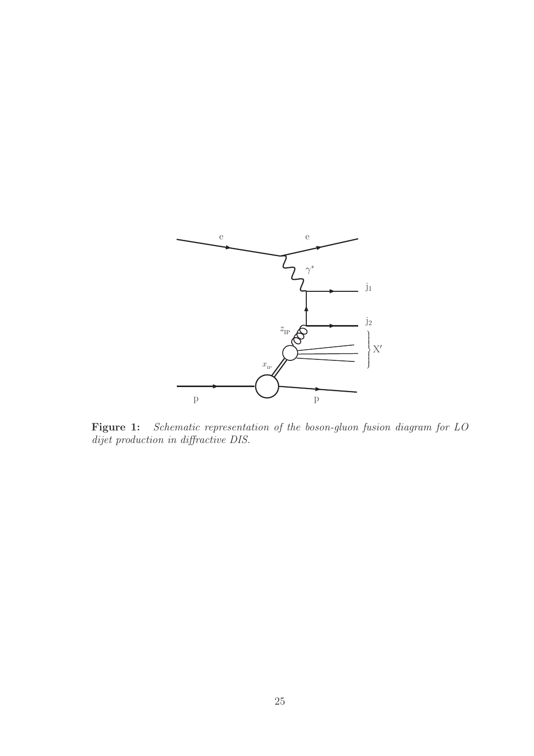

<span id="page-31-0"></span>Figure 1: Schematic representation of the boson-gluon fusion diagram for LO dijet production in diffractive DIS.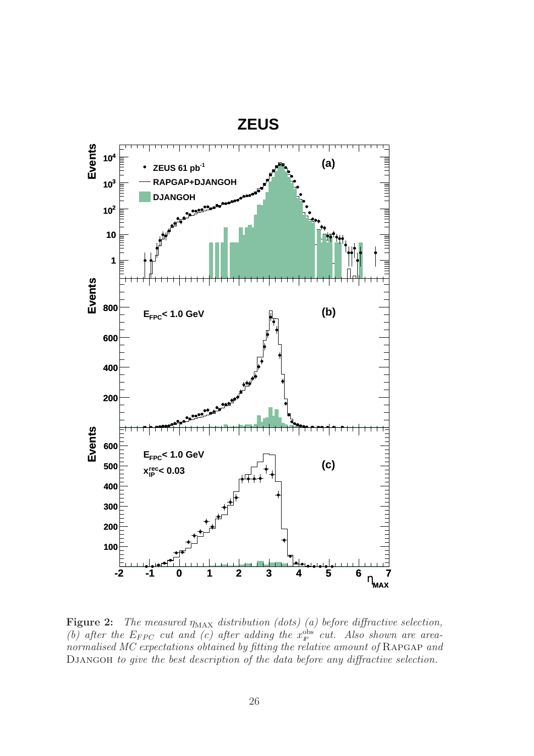

<span id="page-32-0"></span>**Figure 2:** The measured  $\eta_{MAX}$  distribution (dots) (a) before diffractive selection, (b) after the  $E_{FPC}$  cut and (c) after adding the  $x_{\mathbb{P}}^{\text{obs}}$  cut. Also shown are areanormalised MC expectations obtained by fitting the relative amount of RAPGAP and Djangoh to give the best description of the data before any diffractive selection.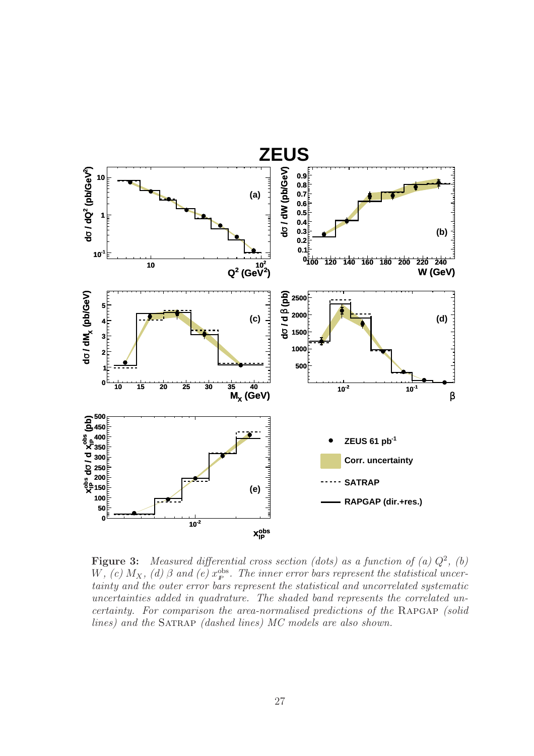

<span id="page-33-0"></span>**Figure 3:** Measured differential cross section (dots) as a function of (a)  $Q^2$ , (b) W, (c)  $M_X$ , (d)  $\beta$  and (e)  $x_{\mathbb{P}}^{\text{obs}}$ . The inner error bars represent the statistical uncertainty and the outer error bars represent the statistical and uncorrelated systematic uncertainties added in quadrature. The shaded band represents the correlated uncertainty. For comparison the area-normalised predictions of the RAPGAP (solid lines) and the SATRAP (dashed lines) MC models are also shown.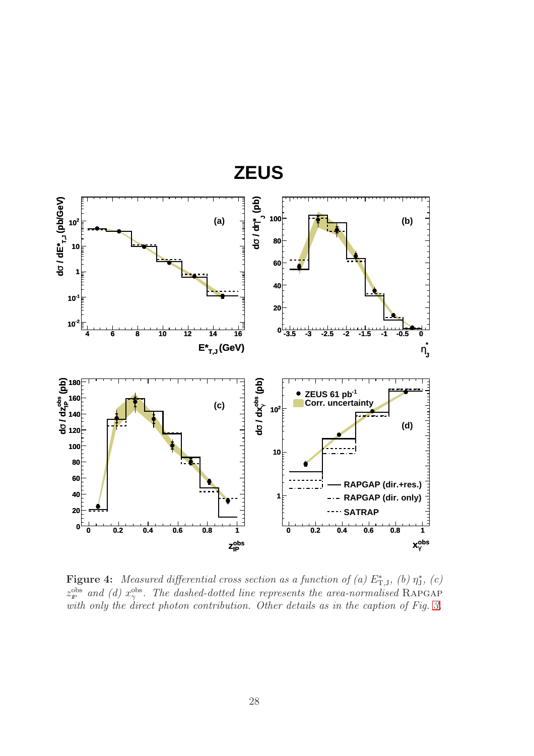

<span id="page-34-0"></span>**Figure 4:** Measured differential cross section as a function of (a)  $E^*_{T,J}$ , (b)  $\eta^*_J$ , (c)  $z_{\rm F}^{\rm obs}$  and (d)  $x_{\gamma}^{\rm obs}$ . The dashed-dotted line represents the area-normalised RAPGAP with only the direct photon contribution. Other details as in the caption of Fig. [3.](#page-33-0)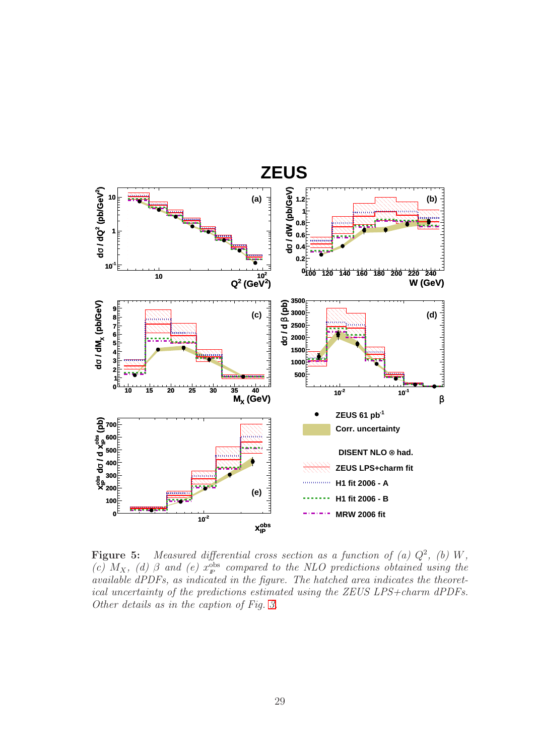

<span id="page-35-0"></span>**Figure 5:** Measured differential cross section as a function of (a)  $Q^2$ , (b) W, (c)  $M_X$ , (d)  $\beta$  and (e)  $x_p^{obs}$  compared to the NLO predictions obtained using the available dPDFs, as indicated in the figure. The hatched area indicates the theoretical uncertainty of the predictions estimated using the ZEUS LPS+charm dPDFs. Other details as in the caption of Fig. [3.](#page-33-0)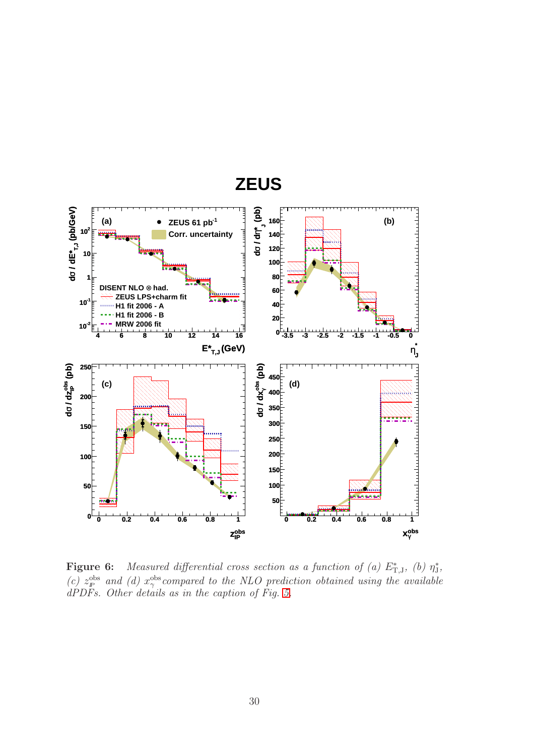

<span id="page-36-0"></span>**Figure 6:** Measured differential cross section as a function of (a)  $E_{T,J}^*$ , (b)  $\eta_J^*$ , (c)  $z_{\rm F}^{\rm obs}$  and (d)  $x_{\gamma}^{\rm obs}$  compared to the NLO prediction obtained using the available dPDFs. Other details as in the caption of Fig. [5.](#page-35-0)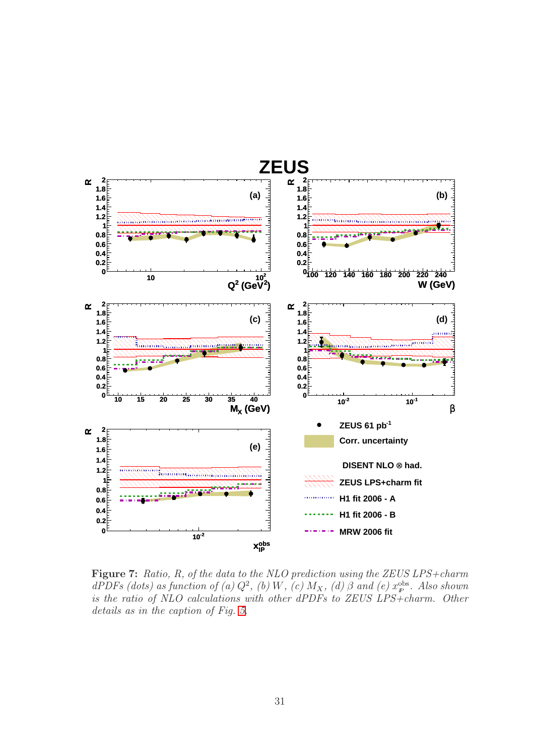

<span id="page-37-0"></span>Figure 7: Ratio, R, of the data to the NLO prediction using the ZEUS LPS+charm dPDFs (dots) as function of (a)  $Q^2$ , (b) W, (c)  $M_X$ , (d)  $\beta$  and (e)  $x_p^{\text{obs}}$ . Also shown is the ratio of NLO calculations with other dPDFs to ZEUS LPS+charm. Other details as in the caption of Fig. [5.](#page-35-0)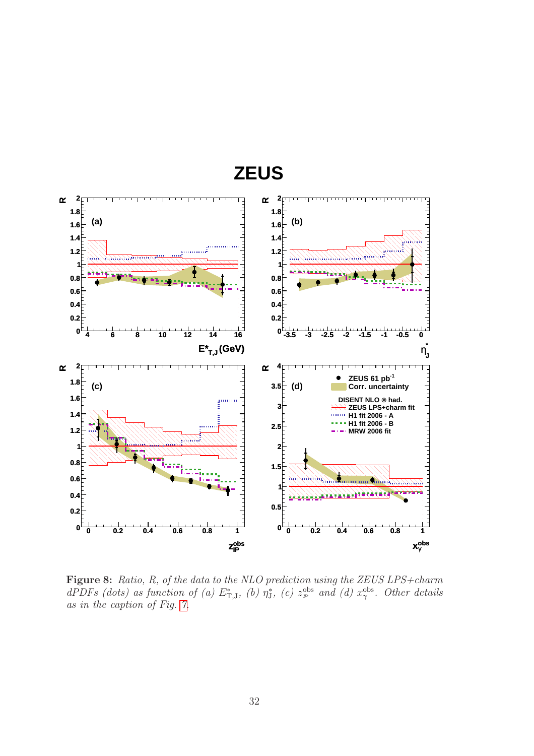

**ZEUS**

<span id="page-38-0"></span>Figure 8: Ratio, R, of the data to the NLO prediction using the ZEUS LPS+charm dPDFs (dots) as function of (a)  $E_{\text{T},J}^{*}$ , (b)  $\eta_{J}^{*}$ , (c)  $z_{p}^{\text{obs}}$  and (d)  $x_{\gamma}^{\text{obs}}$ . Other details as in the caption of Fig. [7.](#page-37-0)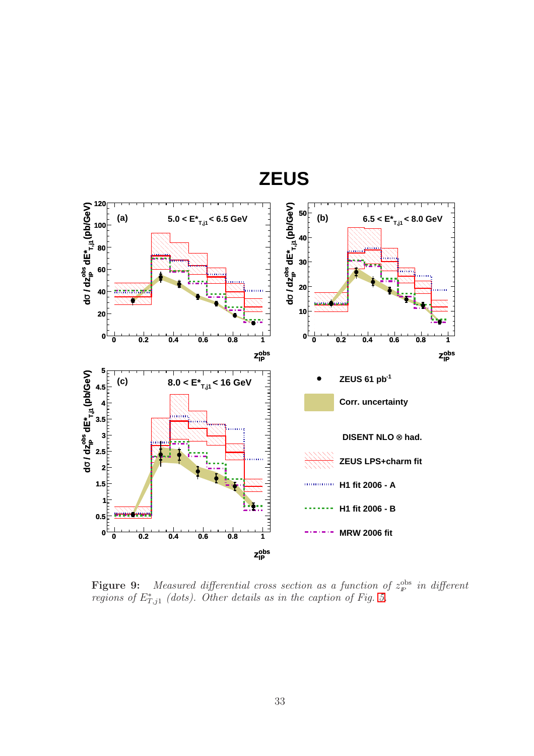

<span id="page-39-0"></span>**Figure 9:** Measured differential cross section as a function of  $z_p^{\text{obs}}$  in different regions of  $E^*_{T,j1}$  (dots). Other details as in the caption of Fig. [5.](#page-35-0)